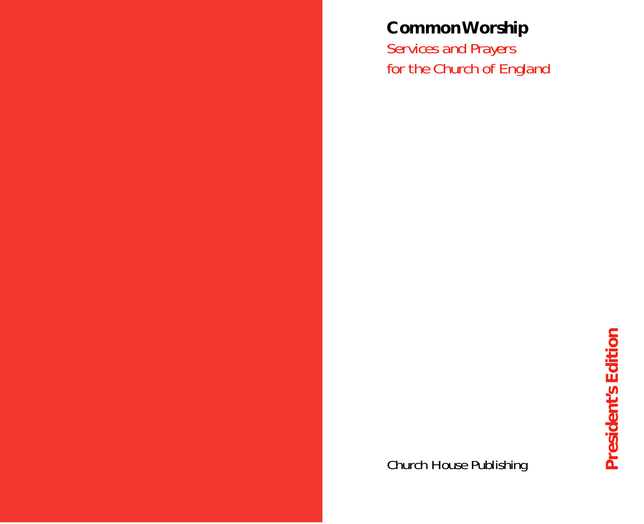**Common Worship**

*Services and Prayers for the Church of England*

*Church House Publishing*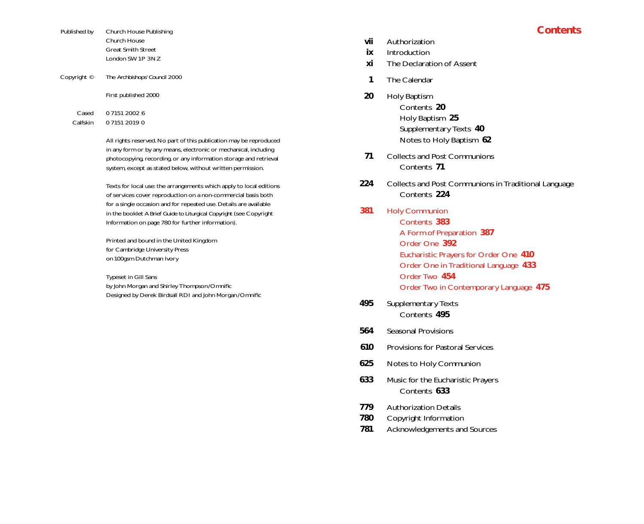### **Contents**

| Published by | Church House Publishing   |  |
|--------------|---------------------------|--|
|              | Church House              |  |
|              | <b>Great Smith Street</b> |  |
|              | London SW1P 3NZ           |  |
|              |                           |  |

Copyright © *The Archbishops' Council 2000* 

First published 2000

Cased 0 7151 2002 6 Calfskin 0 7151 2019 0

All rights reserved. No part of this publication may be reproduced in any form or by any means, electronic or mechanical, including photocopying, recording, or any information storage and retrieval system, except as stated below, without written permission.

Texts for local use: the arrangements which apply to local editions of services cover reproduction on a non-commercial basis both for a single occasion and for repeated use. Details are available in the booklet *A Brief Guide to Liturgical Copyright* (see Copyright Information on page 780 for further information).

Printed and bound in the United Kingdom for Cambridge University Press on 100gsm Dutchman Ivory

Typeset in Gill Sans by John Morgan and Shirley Thompson/Omnific Designed by Derek Birdsall RDI and John Morgan /Omnific

#### **vii** Authorization

- **ix** Introduction
- **xi** The Declaration of Assent
- **1** The Calendar
- **20** Holy Baptism Contents **20** Holy Baptism **25** Supplementary Texts **40** Notes to Holy Baptism **62**
- **71** Collects and Post Communions Contents **71**
- **224** Collects and Post Communions in Traditional Language Contents **224**
- **381** Holy Communion Contents **383** A Form of Preparation **387** Order One **392** Eucharistic Prayers for Order One **410** Order One in Traditional Language **433** Order Two **454** Order Two in Contemporary Language **475**
- **495** Supplementary Texts Contents **495**
- **564** Seasonal Provisions
- **610** Provisions for Pastoral Services
- **625** Notes to Holy Communion
- **633** Music for the Eucharistic Prayers Contents **633**
- **779** Authorization Details
- **780** Copyright Information
- **781** Acknowledgements and Sources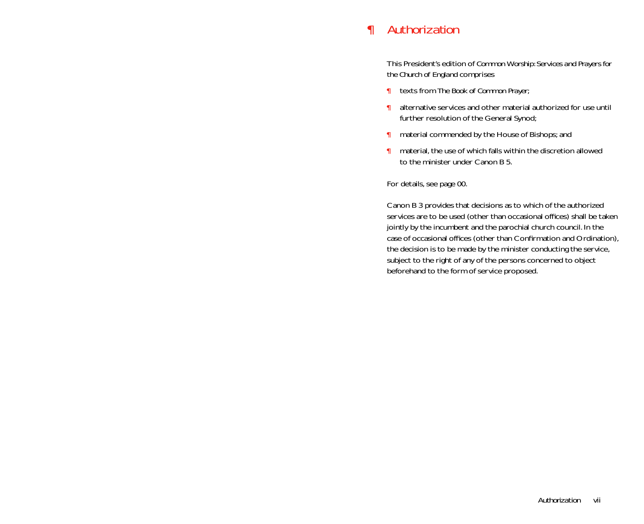## ¶ *Authorization*

This President's edition of *Common Worship: Services and Prayers for the Church of England* comprises

- ¶ texts from *The Book of Common Prayer*;
- ¶ alternative services and other material authorized for use until further resolution of the General Synod;
- ¶ material commended by the House of Bishops; and
- ¶ material, the use of which falls within the discretion allowed to the minister under Canon B 5.

For details, see page 00.

Canon B 3 provides that decisions as to which of the authorized services are to be used (other than occasional offices) shall be taken jointly by the incumbent and the parochial church council. In the case of occasional offices (other than Confirmation and Ordination), the decision is to be made by the minister conducting the service, subject to the right of any of the persons concerned to object beforehand to the form of service proposed.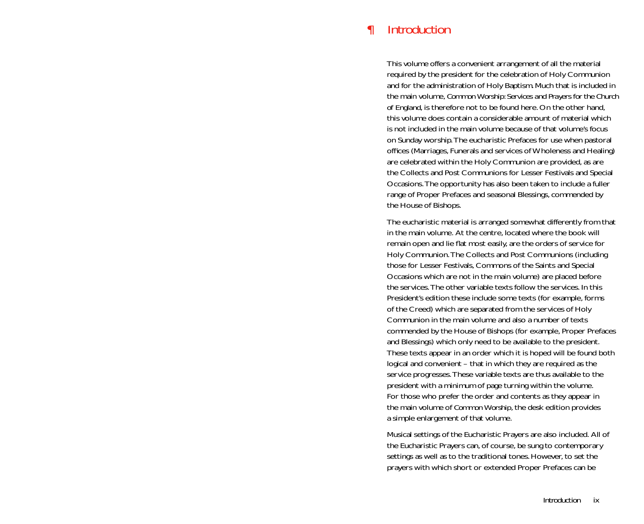## ¶ *Introduction*

This volume offers a convenient arrangement of all the material required by the president for the celebration of Holy Communion and for the administration of Holy Baptism. Much that is included in the main volume, *Common Worship: Services and Prayers for the Church of England*, is therefore not to be found here. On the other hand, this volume does contain a considerable amount of material which is not included in the main volume because of that volume's focus on Sunday worship. The eucharistic Prefaces for use when pastoral offices (Marriages, Funerals and services of Wholeness and Healing) are celebrated within the Holy Communion are provided, as are the Collects and Post Communions for Lesser Festivals and Special Occasions. The opportunity has also been taken to include a fuller range of Proper Prefaces and seasonal Blessings, commended by the House of Bishops.

The eucharistic material is arranged somewhat differently from that in the main volume. At the centre, located where the book will remain open and lie flat most easily, are the orders of service for Holy Communion. The Collects and Post Communions (including those for Lesser Festivals, Commons of the Saints and Special Occasions which are not in the main volume) are placed before the services. The other variable texts follow the services. In this President's edition these include some texts (for example, forms of the Creed) which are separated from the services of Holy Communion in the main volume and also a number of texts commended by the House of Bishops (for example, Proper Prefaces and Blessings) which only need to be available to the president. These texts appear in an order which it is hoped will be found both logical and convenient – that in which they are required as the service progresses. These variable texts are thus available to the president with a minimum of page turning within the volume. For those who prefer the order and contents as they appear in the main volume of *Common Worship*, the desk edition provides a simple enlargement of that volume.

Musical settings of the Eucharistic Prayers are also included. All of the Eucharistic Prayers can, of course, be sung to contemporary settings as well as to the traditional tones. However, to set the prayers with which short or extended Proper Prefaces can be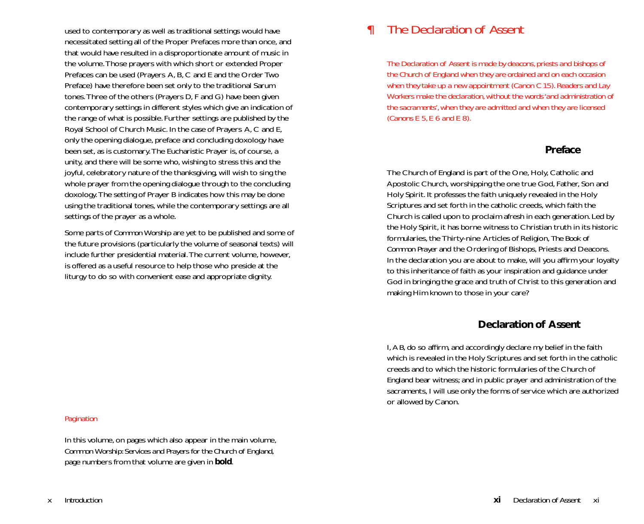used to contemporary as well as traditional settings would have necessitated setting all of the Proper Prefaces more than once, and that would have resulted in a disproportionate amount of music in the volume. Those prayers with which short or extended Proper Prefaces can be used (Prayers A, B, C and E and the Order Two Preface) have therefore been set only to the traditional Sarum tones. Three of the others (Prayers D, F and G) have been given contemporary settings in different styles which give an indication of the range of what is possible. Further settings are published by the Royal School of Church Music. In the case of Prayers A, C and E, only the opening dialogue, preface and concluding doxology have been set, as is customary. The Eucharistic Prayer is, of course, <sup>a</sup> unity, and there will be some who, wishing to stress this and the joyful, celebratory nature of the thanksgiving, will wish to sing the whole prayer from the opening dialogue through to the concluding doxology. The setting of Prayer B indicates how this may be done using the traditional tones, while the contemporary settings are all settings of the prayer as a whole.

Some parts of *Common Worship* are yet to be published and some of the future provisions (particularly the volume of seasonal texts) will include further presidential material. The current volume, however, is offered as a useful resource to help those who preside at the liturgy to do so with convenient ease and appropriate dignity.

## ¶ *The Declaration of Assent*

*The Declaration of Assent is made by deacons, priests and bishops of the Church of England when they are ordained and on each occasion when they take up a new appointment (Canon C 15). Readers and Lay Workers make the declaration, without the words 'and administration of the sacraments', when they are admitted and when they are licensed (Canons E 5, E 6 and E 8).*

### **Preface**

The Church of England is part of the One, Holy, Catholic and Apostolic Church, worshipping the one true God, Father, Son and Holy Spirit. It professes the faith uniquely revealed in the Holy Scriptures and set forth in the catholic creeds, which faith the Church is called upon to proclaim afresh in each generation. Led by the Holy Spirit, it has borne witness to Christian truth in its historic formularies, the Thirty-nine Articles of Religion, *The Book of Common Prayer* and the Ordering of Bishops, Priests and Deacons. In the declaration you are about to make, will you affirm your loyalty to this inheritance of faith as your inspiration and guidance under God in bringing the grace and truth of Christ to this generation and making Him known to those in your care?

## **Declaration of Assent**

I, *A B*, do so affirm, and accordingly declare my belief in the faith which is revealed in the Holy Scriptures and set forth in the catholic creeds and to which the historic formularies of the Church of England bear witness; and in public prayer and administration of the sacraments, I will use only the forms of service which are authorized or allowed by Canon.

#### *Pagination*

In this volume, on pages which also appear in the main volume, *Common Worship: Services and Prayers for the Church of England*, page numbers from that volume are given in **bold**.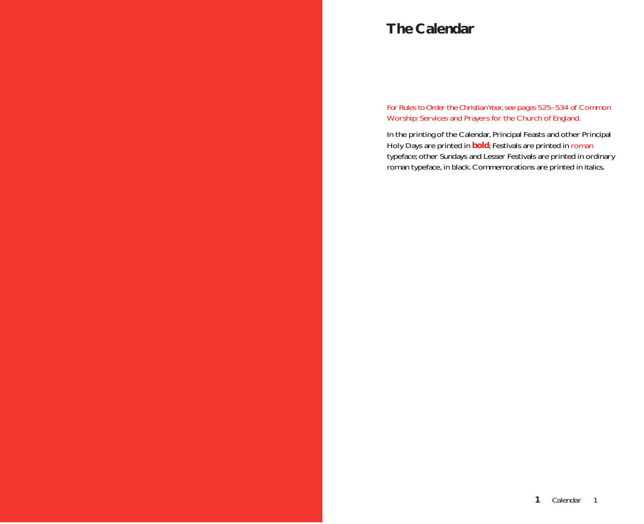## **The Calendar**

*For Rules to Order the Christian Year, see pages 525–534 of* Common Worship: Services and Prayers for the Church of England*.*

In the printing of the Calendar, Principal Feasts and other Principal Holy Days are printed in **bold**; Festivals are printed in roman typeface; other Sundays and Lesser Festivals are printed in ordinary roman typeface, in black. Commemorations are printed in *italics*.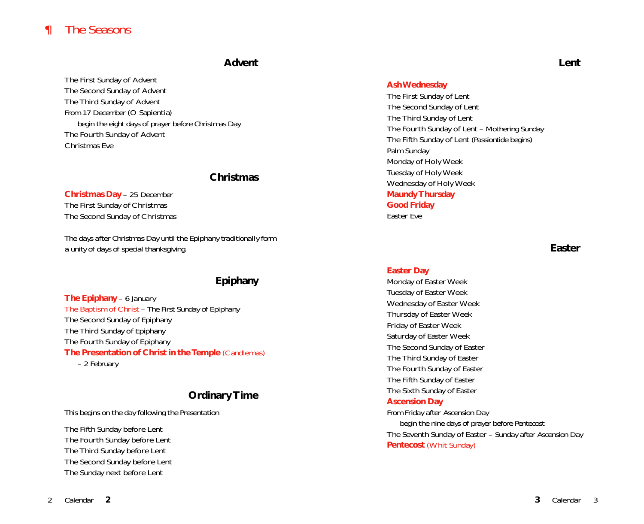## ¶ *The Seasons*

### **Advent**

The First Sunday of Advent The Second Sunday of Advent The Third Sunday of Advent *From 17 December* (O Sapientia) *begin the eight days of prayer before Christmas Day* The Fourth Sunday of Advent Christmas Eve

### **Christmas**

**Christmas Day** *– 25 December* The First Sunday of Christmas The Second Sunday of Christmas

*The days after Christmas Day until the Epiphany traditionally form a unity of days of special thanksgiving.*

## **Epiphany**

**The Epiphany** *– 6 January* The Baptism of Christ *– The First Sunday of Epiphany* The Second Sunday of Epiphany The Third Sunday of Epiphany The Fourth Sunday of Epiphany **The Presentation of Christ in the Temple** (Candlemas) – *2 February*

### **Ordinary Time**

*This begins on the day following the Presentation*

The Fifth Sunday before Lent The Fourth Sunday before Lent The Third Sunday before Lent The Second Sunday before Lent The Sunday next before Lent

### **Ash Wednesday**

The First Sunday of Lent The Second Sunday of Lent The Third Sunday of Lent The Fourth Sunday of Lent *– Mothering Sunday* The Fifth Sunday of Lent *(Passiontide begins)* Palm Sunday Monday of Holy Week Tuesday of Holy Week Wednesday of Holy Week **Maundy Thursday Good Friday** Easter Eve

### **Easter**

### **Easter Day**

Monday of Easter Week Tuesday of Easter Week Wednesday of Easter Week Thursday of Easter Week Friday of Easter Week Saturday of Easter Week The Second Sunday of Easter The Third Sunday of Easter The Fourth Sunday of Easter The Fifth Sunday of Easter The Sixth Sunday of Easter **Ascension Day** *From Friday after Ascension Day begin the nine days of prayer before Pentecost* The Seventh Sunday of Easter *– Sunday after Ascension Day* **Pentecost** (Whit Sunday)

### **Lent**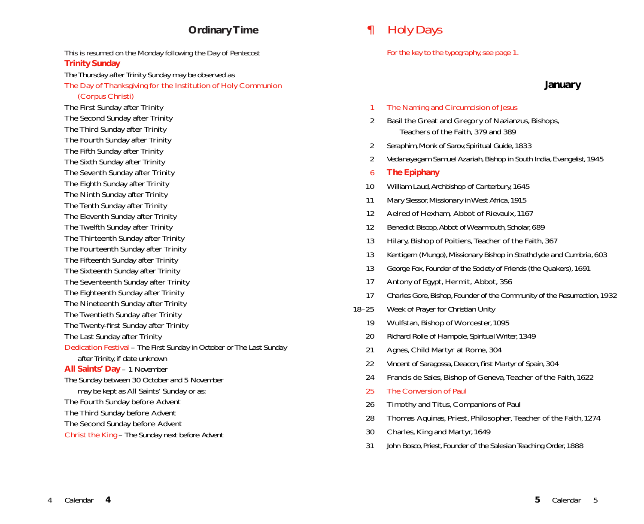## **Ordinary Time**

*This is resumed on the Monday following the Day of Pentecost* **Trinity Sunday**

*The Thursday after Trinity Sunday may be observed as*  The Day of Thanksgiving for the Institution of Holy Communion

(Corpus Christi)

The First Sunday after Trinity The Second Sunday after Trinity The Third Sunday after Trinity The Fourth Sunday after Trinity The Fifth Sunday after Trinity The Sixth Sunday after Trinity The Seventh Sunday after Trinity The Eighth Sunday after Trinity The Ninth Sunday after Trinity The Tenth Sunday after Trinity The Eleventh Sunday after Trinity The Twelfth Sunday after Trinity The Thirteenth Sunday after Trinity The Fourteenth Sunday after Trinity The Fifteenth Sunday after Trinity The Sixteenth Sunday after Trinity The Seventeenth Sunday after Trinity The Eighteenth Sunday after Trinity The Nineteenth Sunday after Trinity The Twentieth Sunday after Trinity The Twenty-first Sunday after Trinity The Last Sunday after Trinity Dedication Festival *– The First Sunday in October or The Last Sunday after Trinity, if date unknown* **All Saints' Day** *– 1 November The Sunday between 30 October and 5 November may be kept as* All Saints' Sunday *or as:* The Fourth Sunday before Advent The Third Sunday before Advent The Second Sunday before Advent Christ the King *– The Sunday next before Advent*

## ¶ *Holy Days*

*For the key to the typography, see page 1.*

## **January**

| $\mathbf{1}$   | The Naming and Circumcision of Jesus                                                     |
|----------------|------------------------------------------------------------------------------------------|
| $\overline{2}$ | Basil the Great and Gregory of Nazianzus, Bishops,<br>Teachers of the Faith, 379 and 389 |
| 2              | Seraphim, Monk of Sarov, Spiritual Guide, 1833                                           |
| 2              | Vedanayagam Samuel Azariah, Bishop in South India, Evangelist, 1945                      |
| 6              | <b>The Epiphany</b>                                                                      |
| 10             | William Laud, Archbishop of Canterbury, 1645                                             |
| 11             | Mary Slessor, Missionary in West Africa, 1915                                            |
| 12             | Aelred of Hexham, Abbot of Rievaulx, 1167                                                |
| 12             | Benedict Biscop, Abbot of Wearmouth, Scholar, 689                                        |
| 13             | Hilary, Bishop of Poitiers, Teacher of the Faith, 367                                    |
| 13             | Kentigern (Mungo), Missionary Bishop in Strathclyde and Cumbria, 603                     |
| 13             | George Fox, Founder of the Society of Friends (the Quakers), 1691                        |
| 17             | Antony of Egypt, Hermit, Abbot, 356                                                      |
| 17             | Charles Gore, Bishop, Founder of the Community of the Resurrection, 1932                 |
| $18 - 25$      | Week of Prayer for Christian Unity                                                       |
| 19             | Wulfstan, Bishop of Worcester, 1095                                                      |
| 20             | Richard Rolle of Hampole, Spiritual Writer, 1349                                         |
| 21             | Agnes, Child Martyr at Rome, 304                                                         |
| 22             | Vincent of Saragossa, Deacon, first Martyr of Spain, 304                                 |
| 24             | Francis de Sales, Bishop of Geneva, Teacher of the Faith, 1622                           |
| 25             | The Conversion of Paul                                                                   |
| 26             | Timothy and Titus, Companions of Paul                                                    |
| 28             | Thomas Aquinas, Priest, Philosopher, Teacher of the Faith, 1274                          |
| 30             | Charles, King and Martyr, 1649                                                           |
| 31             | John Bosco, Priest, Founder of the Salesian Teaching Order, 1888                         |
|                |                                                                                          |
|                |                                                                                          |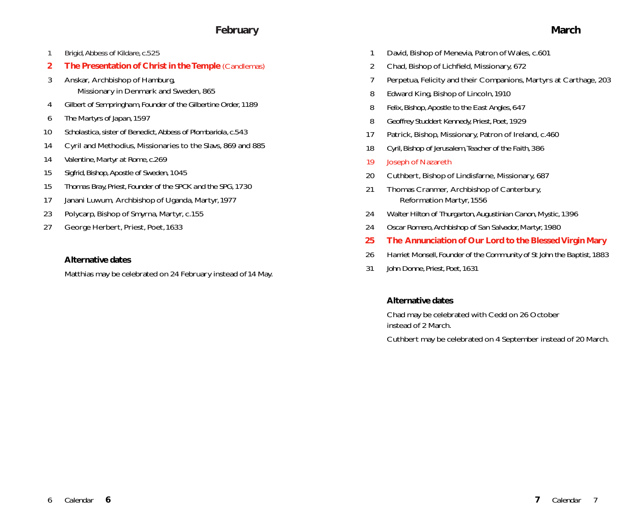## **February**

- *Brigid, Abbess of Kildare, c.525*
- **The Presentation of Christ in the Temple** (Candlemas)
- Anskar, Archbishop of Hamburg, Missionary in Denmark and Sweden, 865
- *Gilbert of Sempringham, Founder of the Gilbertine Order, 1189*
- *The Martyrs of Japan, 1597*
- *Scholastica, sister of Benedict, Abbess of Plombariola, c.543*
- Cyril and Methodius, Missionaries to the Slavs, 869 and 885
- *Valentine, Martyr at Rome, c.269*
- *Sigfrid, Bishop, Apostle of Sweden, 1045*
- *Thomas Bray, Priest, Founder of the SPCK and the SPG, 1730*
- Janani Luwum, Archbishop of Uganda, Martyr,1977
- Polycarp, Bishop of Smyrna, Martyr, c.155
- George Herbert, Priest, Poet,1633

### **Alternative dates**

Matthias may be celebrated on 24 February instead of 14 May.

- David, Bishop of Menevia, Patron of Wales, c.601
- Chad, Bishop of Lichfield, Missionary, 672
- Perpetua, Felicity and their Companions, Martyrs at Carthage, 203
- Edward King, Bishop of Lincoln,1910
- *Felix, Bishop, Apostle to the East Angles, 647*
- *Geoffrey Studdert Kennedy, Priest, Poet, 1929*
- Patrick, Bishop, Missionary, Patron of Ireland, c.460
- *Cyril, Bishop of Jerusalem, Teacher of the Faith, 386*
- Joseph of Nazareth
- Cuthbert, Bishop of Lindisfarne, Missionary, 687
- Thomas Cranmer, Archbishop of Canterbury, Reformation Martyr,1556
- *Walter Hilton of Thurgarton, Augustinian Canon, Mystic, 1396*
- *Oscar Romero, Archbishop of San Salvador, Martyr, 1980*
- **The Annunciation of Our Lord to the Blessed Virgin Mary**
- *Harriet Monsell, Founder of the Community of St John the Baptist, 1883*
- *John Donne, Priest, Poet, 1631*

### **Alternative dates**

Chad may be celebrated with Cedd on 26 October instead of 2 March.

Cuthbert may be celebrated on 4 September instead of 20 March*.*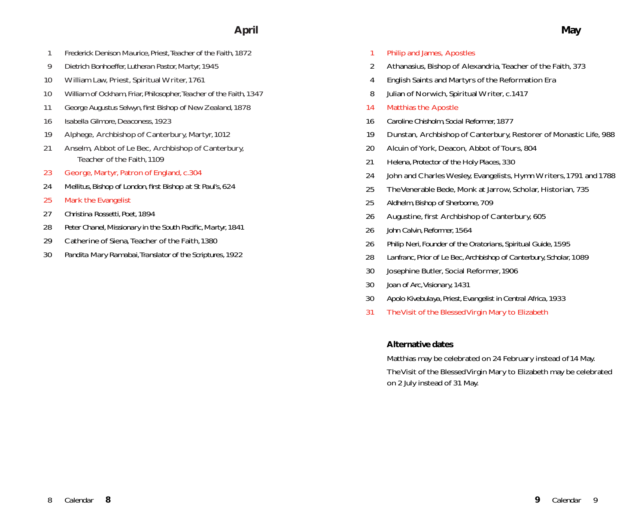## **April**

- *Frederick Denison Maurice, Priest, Teacher of the Faith, 1872*
- *Dietrich Bonhoeffer, Lutheran Pastor, Martyr, 1945*
- William Law, Priest, Spiritual Writer,1761
- *William of Ockham, Friar, Philosopher, Teacher of the Faith, 1347*
- *George Augustus Selwyn, first Bishop of New Zealand, 1878*
- *Isabella Gilmore, Deaconess, 1923*
- Alphege, Archbishop of Canterbury, Martyr,1012
- Anselm, Abbot of Le Bec, Archbishop of Canterbury, Teacher of the Faith,1109
- George, Martyr, Patron of England, c.304
- *Mellitus, Bishop of London, first Bishop at St Paul's, 624*
- Mark the Evangelist
- *Christina Rossetti, Poet, 1894*
- *Peter Chanel, Missionary in the South Pacific, Martyr, 1841*
- 29 Catherine of Siena, Teacher of the Faith, 1380
- *Pandita Mary Ramabai, Translator of the Scriptures, 1922*
- Philip and James, Apostles
- Athanasius, Bishop of Alexandria, Teacher of the Faith, 373
- English Saints and Martyrs of the Reformation Era
- 8 Julian of Norwich, Spiritual Writer, c.1417
- Matthias the Apostle
- *Caroline Chisholm, Social Reformer, 1877*
- Dunstan, Archbishop of Canterbury, Restorer of Monastic Life, 988
- Alcuin of York, Deacon, Abbot of Tours, 804
- *Helena, Protector of the Holy Places, 330*
- 24 John and Charles Wesley, Evangelists, Hymn Writers, 1791 and 1788
- The Venerable Bede, Monk at Jarrow, Scholar, Historian, 735
- *Aldhelm, Bishop of Sherborne, 709*
- Augustine, first Archbishop of Canterbury, 605
- *John Calvin, Reformer, 1564*
- *Philip Neri, Founder of the Oratorians, Spiritual Guide, 1595*
- *Lanfranc, Prior of Le Bec, Archbishop of Canterbury, Scholar, 1089*
- Josephine Butler, Social Reformer,1906
- *Joan of Arc, Visionary, 1431*
- *Apolo Kivebulaya, Priest, Evangelist in Central Africa, 1933*
- The Visit of the Blessed Virgin Mary to Elizabeth

### **Alternative dates**

Matthias may be celebrated on 24 February instead of 14 May. The Visit of the Blessed Virgin Mary to Elizabeth may be celebrated on 2 July instead of 31 May.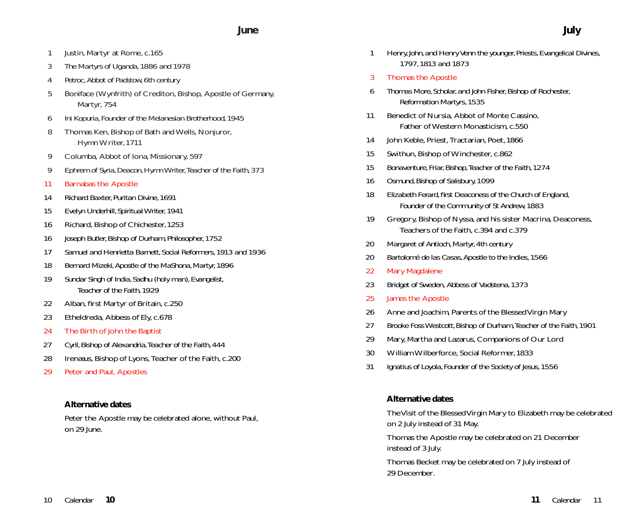### **June**

- Justin, Martyr at Rome, c.165
- *The Martyrs of Uganda, 1886 and 1978*
- *Petroc, Abbot of Padstow, 6th century*
- Boniface (Wynfrith) of Crediton, Bishop, Apostle of Germany, Martyr, 754
- *Ini Kopuria, Founder of the Melanesian Brotherhood, 1945*
- Thomas Ken, Bishop of Bath and Wells, Nonjuror, Hymn Writer,1711
- Columba, Abbot of Iona, Missionary, 597
- *Ephrem of Syria, Deacon, Hymn Writer, Teacher of the Faith, 373*
- Barnabas the Apostle
- *Richard Baxter, Puritan Divine, 1691*
- *Evelyn Underhill, Spiritual Writer, 1941*
- Richard, Bishop of Chichester,1253
- *Joseph Butler, Bishop of Durham, Philosopher, 1752*
- *Samuel and Henrietta Barnett, Social Reformers, 1913 and 1936*
- *Bernard Mizeki, Apostle of the MaShona, Martyr, 1896*
- *Sundar Singh of India, Sadhu (holy man), Evangelist, Teacher of the Faith, 1929*
- Alban, first Martyr of Britain, c.250
- Etheldreda, Abbess of Ely, c.678
- The Birth of John the Baptist
- *Cyril, Bishop of Alexandria, Teacher of the Faith, 444*
- Irenæus, Bishop of Lyons, Teacher of the Faith, c.200
- Peter and Paul, Apostles

#### **Alternative dates**

Peter the Apostle may be celebrated alone, without Paul, on 29 June.

 *Henry, John, and Henry Venn the younger, Priests, Evangelical Divines, 1797, 1813 and 1873*

#### Thomas the Apostle

- *Thomas More, Scholar, and John Fisher, Bishop of Rochester, Reformation Martyrs, 1535*
- Benedict of Nursia, Abbot of Monte Cassino, Father of Western Monasticism, c.550
- John Keble, Priest, Tractarian, Poet,1866
- Swithun, Bishop of Winchester, c.862
- *Bonaventure, Friar, Bishop, Teacher of the Faith, 1274*
- *Osmund, Bishop of Salisbury, 1099*
- *Elizabeth Ferard, first Deaconess of the Church of England, Founder of the Community of St Andrew, 1883*
- Gregory, Bishop of Nyssa, and his sister Macrina, Deaconess, Teachers of the Faith, c.394 and c.379
- *Margaret of Antioch, Martyr, 4th century*
- *Bartolomé de las Casas, Apostle to the Indies, 1566*
- Mary Magdalene
- *Bridget of Sweden, Abbess of Vadstena, 1373*
- James the Apostle
- Anne and Joachim, Parents of the Blessed Virgin Mary
- *Brooke Foss Westcott, Bishop of Durham, Teacher of the Faith, 1901*
- Mary, Martha and Lazarus, Companions of Our Lord
- William Wilberforce, Social Reformer,1833
- *Ignatius of Loyola, Founder of the Society of Jesus, 1556*

#### **Alternative dates**

The Visit of the Blessed Virgin Mary to Elizabeth may be celebrated on 2 July instead of 31 May.

Thomas the Apostle may be celebrated on 21 December instead of 3 July.

Thomas Becket may be celebrated on 7 July instead of 29 December*.*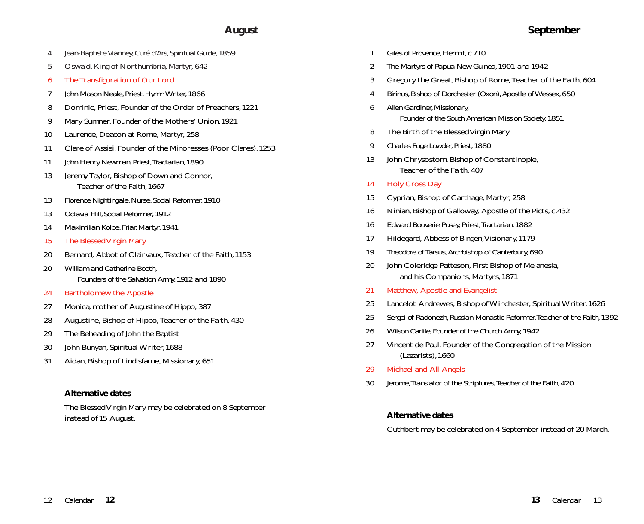## **August**

## **September**

- *Jean-Baptiste Vianney, Curé d'Ars, Spiritual Guide, 1859*
- Oswald, King of Northumbria, Martyr, 642
- The Transfiguration of Our Lord
- *John Mason Neale, Priest, Hymn Writer, 1866*
- Dominic, Priest, Founder of the Order of Preachers,1221
- Mary Sumner, Founder of the Mothers' Union,1921
- Laurence, Deacon at Rome, Martyr, 258
- Clare of Assisi, Founder of the Minoresses (Poor Clares),1253
- *John Henry Newman, Priest, Tractarian, 1890*
- Jeremy Taylor, Bishop of Down and Connor, Teacher of the Faith,1667
- *Florence Nightingale, Nurse, Social Reformer, 1910*
- *Octavia Hill, Social Reformer, 1912*
- *Maximilian Kolbe, Friar, Martyr, 1941*
- The Blessed Virgin Mary
- 20 Bernard, Abbot of Clairvaux, Teacher of the Faith, 1153
- *William and Catherine Booth, Founders of the Salvation Army, 1912 and 1890*
- Bartholomew the Apostle
- Monica, mother of Augustine of Hippo, 387
- Augustine, Bishop of Hippo, Teacher of the Faith, 430
- The Beheading of John the Baptist
- John Bunyan, Spiritual Writer,1688
- Aidan, Bishop of Lindisfarne, Missionary, 651

#### **Alternative dates**

The Blessed Virgin Mary may be celebrated on 8 September instead of 15 August.

- *Giles of Provence, Hermit, c.710*
- *The Martyrs of Papua New Guinea, 1901 and 1942*
- Gregory the Great, Bishop of Rome, Teacher of the Faith, 604
- *Birinus, Bishop of Dorchester (Oxon), Apostle of Wessex, 650*
- *Allen Gardiner, Missionary, Founder of the South American Mission Society, 1851*
- The Birth of the Blessed Virgin Mary
- *Charles Fuge Lowder, Priest, 1880*
- John Chrysostom, Bishop of Constantinople, Teacher of the Faith, 407
- 14 Holy Cross Day
- Cyprian, Bishop of Carthage, Martyr, 258
- Ninian, Bishop of Galloway, Apostle of the Picts, c.432
- *Edward Bouverie Pusey, Priest, Tractarian, 1882*
- Hildegard, Abbess of Bingen,Visionary,1179
- *Theodore of Tarsus, Archbishop of Canterbury, 690*
- John Coleridge Patteson, First Bishop of Melanesia, and his Companions, Martyrs,1871
- Matthew, Apostle and Evangelist
- Lancelot Andrewes, Bishop of Winchester, Spiritual Writer,1626
- *Sergei of Radonezh, Russian Monastic Reformer, Teacher of the Faith, 1392*
- *Wilson Carlile, Founder of the Church Army, 1942*
- Vincent de Paul, Founder of the Congregation of the Mission (Lazarists),1660
- Michael and All Angels
- *Jerome, Translator of the Scriptures, Teacher of the Faith, 420*

### **Alternative dates**

Cuthbert may be celebrated on 4 September instead of 20 March.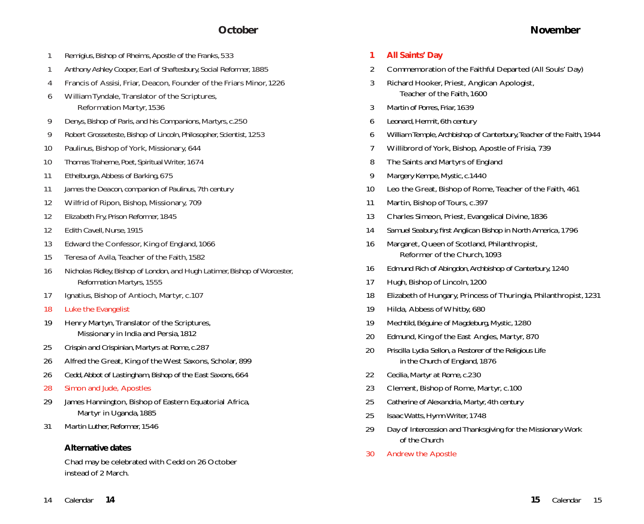## **October**

- *Remigius, Bishop of Rheims, Apostle of the Franks, 533*
- *Anthony Ashley Cooper, Earl of Shaftesbury, Social Reformer, 1885*
- Francis of Assisi, Friar, Deacon, Founder of the Friars Minor,1226
- William Tyndale, Translator of the Scriptures, Reformation Martyr,1536
- *Denys, Bishop of Paris, and his Companions, Martyrs, c.250*
- *Robert Grosseteste, Bishop of Lincoln, Philosopher, Scientist, 1253*
- Paulinus, Bishop of York, Missionary, 644
- *Thomas Traherne, Poet, Spiritual Writer, 1674*
- *Ethelburga, Abbess of Barking, 675*
- *James the Deacon, companion of Paulinus, 7th century*
- Wilfrid of Ripon, Bishop, Missionary, 709
- *Elizabeth Fry, Prison Reformer, 1845*
- *Edith Cavell, Nurse, 1915*
- Edward the Confessor, King of England,1066
- Teresa of Avila, Teacher of the Faith,1582
- *Nicholas Ridley, Bishop of London, and Hugh Latimer, Bishop of Worcester, Reformation Martyrs, 1555*
- Ignatius, Bishop of Antioch, Martyr, c.107
- Luke the Evangelist
- Henry Martyn, Translator of the Scriptures, Missionary in India and Persia,1812
- *Crispin and Crispinian, Martyrs at Rome, c.287*
- Alfred the Great, King of the West Saxons, Scholar, 899
- *Cedd, Abbot of Lastingham, Bishop of the East Saxons, 664*
- Simon and Jude, Apostles
- James Hannington, Bishop of Eastern Equatorial Africa, Martyr in Uganda,1885
- *Martin Luther, Reformer, 1546*

### **Alternative dates**

Chad may be celebrated with Cedd on 26 October instead of 2 March.

- **All Saints' Day**
- Commemoration of the Faithful Departed (All Souls' Day)
- Richard Hooker, Priest, Anglican Apologist, Teacher of the Faith,1600
- *Martin of Porres, Friar, 1639*
- *Leonard, Hermit, 6th century*
- *William Temple, Archbishop of Canterbury, Teacher of the Faith, 1944*
- Willibrord of York, Bishop, Apostle of Frisia, 739
- The Saints and Martyrs of England
- *Margery Kempe, Mystic, c.1440*
- Leo the Great, Bishop of Rome, Teacher of the Faith, 461
- Martin, Bishop of Tours, c.397
- Charles Simeon, Priest, Evangelical Divine,1836
- *Samuel Seabury, first Anglican Bishop in North America, 1796*
- Margaret, Queen of Scotland, Philanthropist, Reformer of the Church,1093
- *Edmund Rich of Abingdon, Archbishop of Canterbury, 1240*
- Hugh, Bishop of Lincoln,1200
- Elizabeth of Hungary, Princess of Thuringia, Philanthropist,1231
- Hilda, Abbess of Whitby, 680
- *Mechtild, Béguine of Magdeburg, Mystic, 1280*
- Edmund, King of the East Angles, Martyr, 870
- *Priscilla Lydia Sellon, a Restorer of the Religious Life in the Church of England, 1876*
- *Cecilia, Martyr at Rome, c.230*
- Clement, Bishop of Rome, Martyr, c.100
- *Catherine of Alexandria, Martyr, 4th century*
- *Isaac Watts, Hymn Writer, 1748*
- *Day of Intercession and Thanksgiving for the Missionary Work of the Church*
- Andrew the Apostle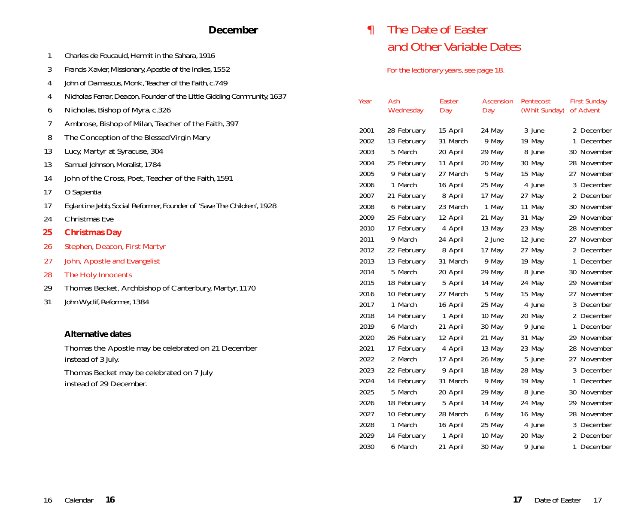## **December**

| 1  | Charles de Foucauld, Hermit in the Sahara, 1916                        |
|----|------------------------------------------------------------------------|
| 3  | Francis Xavier, Missionary, Apostle of the Indies, 1552                |
| 4  | John of Damascus, Monk, Teacher of the Faith, c.749                    |
| 4  | Nicholas Ferrar, Deacon, Founder of the Little Gidding Community, 1637 |
| 6  | Nicholas, Bishop of Myra, c.326                                        |
| 7  | Ambrose, Bishop of Milan, Teacher of the Faith, 397                    |
| 8  | The Conception of the Blessed Virgin Mary                              |
| 13 | Lucy, Martyr at Syracuse, 304                                          |
| 13 | Samuel Johnson, Moralist, 1784                                         |
| 14 | John of the Cross, Poet, Teacher of the Faith, 1591                    |
| 17 | O Sapientia                                                            |
| 17 | Eglantine Jebb, Social Reformer, Founder of 'Save The Children', 1928  |
| 24 | Christmas Eve                                                          |
| 25 | <b>Christmas Day</b>                                                   |
| 26 | Stephen, Deacon, First Martyr                                          |
| 27 | John, Apostle and Evangelist                                           |
| 28 | The Holy Innocents                                                     |
| 29 | Thomas Becket, Archbishop of Canterbury, Martyr, 1170                  |
| 31 | John Wyclif, Reformer, 1384                                            |
|    | <b>Alternative dates</b>                                               |
|    |                                                                        |

Thomas the Apostle may be celebrated on 21 December instead of 3 July.

Thomas Becket may be celebrated on 7 July instead of 29 December.

## **f** *The Date of Easter and Other Variable Dates*

*For the lectionary years, see page 18.*

| Year | Ash         | Easter   | <b>Ascension</b> | Pentecost     |    | <b>First Sunday</b> |
|------|-------------|----------|------------------|---------------|----|---------------------|
|      | Wednesday   | Day      | Day              | (Whit Sunday) |    | of Advent           |
| 2001 | 28 February | 15 April | 24 May           | 3 June        |    | 2 December          |
| 2002 | 13 February | 31 March | 9 May            | 19 May        |    | 1 December          |
| 2003 | 5 March     | 20 April | 29 May           | 8 June        |    | 30 November         |
| 2004 | 25 February | 11 April | 20 May           | 30 May        |    | 28 November         |
| 2005 | 9 February  | 27 March | 5 May            | 15 May        |    | 27 November         |
| 2006 | 1 March     | 16 April | 25 May           | 4 June        |    | 3 December          |
| 2007 | 21 February | 8 April  | 17 May           | 27 May        |    | 2 December          |
| 2008 | 6 February  | 23 March | 1 May            | 11 May        |    | 30 November         |
| 2009 | 25 February | 12 April | 21 May           | 31 May        |    | 29 November         |
| 2010 | 17 February | 4 April  | 13 May           | 23 May        |    | 28 November         |
| 2011 | 9 March     | 24 April | 2 June           | 12 June       |    | 27 November         |
| 2012 | 22 February | 8 April  | 17 May           | 27 May        |    | 2 December          |
| 2013 | 13 February | 31 March | 9 May            | 19 May        | 1. | December            |
| 2014 | 5 March     | 20 April | 29 May           | 8 June        |    | 30 November         |
| 2015 | 18 February | 5 April  | 14 May           | 24 May        |    | 29 November         |
| 2016 | 10 February | 27 March | 5 May            | 15 May        |    | 27 November         |
| 2017 | 1 March     | 16 April | 25 May           | 4 June        |    | 3 December          |
| 2018 | 14 February | 1 April  | 10 May           | 20 May        |    | 2 December          |
| 2019 | 6 March     | 21 April | 30 May           | 9 June        | 1. | December            |
| 2020 | 26 February | 12 April | 21 May           | 31 May        |    | 29 November         |
| 2021 | 17 February | 4 April  | 13 May           | 23 May        |    | 28 November         |
| 2022 | 2 March     | 17 April | 26 May           | 5 June        |    | 27 November         |
| 2023 | 22 February | 9 April  | 18 May           | 28 May        |    | 3 December          |
| 2024 | 14 February | 31 March | 9 May            | 19 May        | 1  | December            |
| 2025 | 5 March     | 20 April | 29 May           | 8 June        |    | 30 November         |
| 2026 | 18 February | 5 April  | 14 May           | 24 May        |    | 29 November         |
| 2027 | 10 February | 28 March | 6 May            | 16 May        |    | 28 November         |
| 2028 | 1 March     | 16 April | 25 May           | 4 June        |    | 3 December          |
| 2029 | 14 February | 1 April  | 10 May           | 20 May        |    | 2 December          |
| 2030 | 6 March     | 21 April | 30 May           | 9 June        | 1  | December            |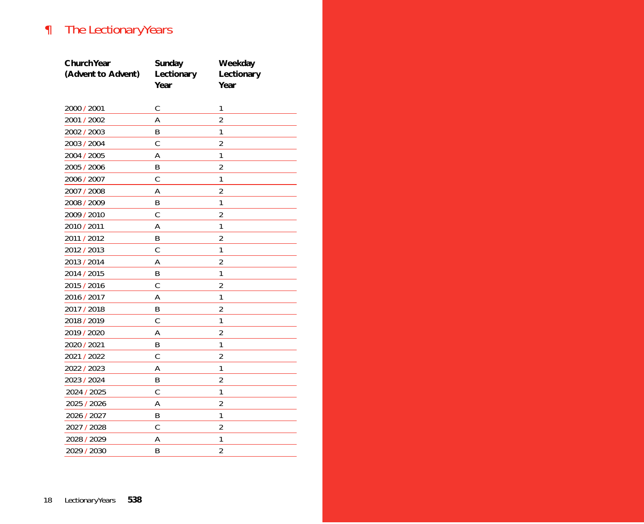# ¶ *The Lectionary Years*

| Church Year        | <b>Sunday</b>  | Weekday        |
|--------------------|----------------|----------------|
| (Advent to Advent) | Lectionary     | Lectionary     |
|                    | Year           | Year           |
|                    |                |                |
| 2000 / 2001        | С              | 1              |
| 2001 / 2002        | A              | $\overline{2}$ |
| 2002 / 2003        | B              | 1              |
| 2003 / 2004        | C              | 2              |
| 2004 / 2005        | А              | 1              |
| 2005 / 2006        | B              | $\overline{2}$ |
| 2006 / 2007        | $\overline{C}$ | 1              |
| 2007 / 2008        | Α              | $\overline{2}$ |
| 2008 / 2009        | B              | 1              |
| 2009 / 2010        | C              | $\overline{2}$ |
| 2010 / 2011        | Α              | 1              |
| 2011 / 2012        | Β              | 2              |
| 2012 / 2013        | $\overline{C}$ | 1              |
| 2013 / 2014        | A              | $\overline{2}$ |
| 2014 / 2015        | B              | 1              |
| 2015 / 2016        | $\overline{C}$ | $\overline{2}$ |
| 2016 / 2017        | A              | 1              |
| 2017 / 2018        | B              | 2              |
| 2018 / 2019        | C              | 1              |
| 2019 / 2020        | Α              | $\overline{2}$ |
| 2020 / 2021        | B              | 1              |
| 2021 / 2022        | C              | 2              |
| 2022 / 2023        | A              | 1              |
| 2023 / 2024        | Β              | $\overline{2}$ |
| 2024 / 2025        | C              | 1              |
| 2025 / 2026        | A              | $\overline{c}$ |
| 2026 / 2027        | B              | 1              |
| 2027 / 2028        | C              | 2              |
| 2028 / 2029        | Α              | 1              |
| 2029 / 2030        | B              | $\overline{2}$ |
|                    |                |                |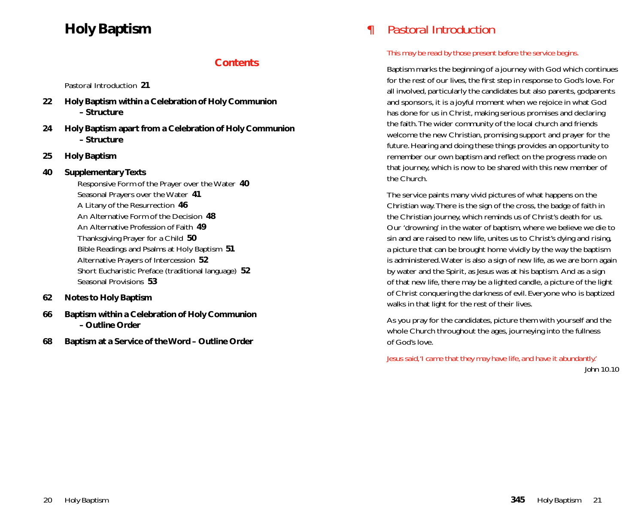## **Holy Baptism**

## **Contents**

Pastoral Introduction **21**

- **22 Holy Baptism within a Celebration of Holy Communion – Structure**
- **24 Holy Baptism apart from a Celebration of Holy Communion – Structure**
- **25 Holy Baptism**

### **40 Supplementary Texts**

Responsive Form of the Prayer over the Water **40** Seasonal Prayers over the Water **41** A Litany of the Resurrection **46** An Alternative Form of the Decision **48** An Alternative Profession of Faith **49** Thanksgiving Prayer for a Child **50** Bible Readings and Psalms at Holy Baptism **51** Alternative Prayers of Intercession **52** Short Eucharistic Preface (traditional language) **52** Seasonal Provisions **53**

- **62 Notes to Holy Baptism**
- **66 Baptism within a Celebration of Holy Communion – Outline Order**
- **68 Baptism at a Service of the Word Outline Order**

## ¶ *Pastoral Introduction*

### *This may be read by those present before the service begins.*

Baptism marks the beginning of a journey with God which continues for the rest of our lives, the first step in response to God's love. For all involved, particularly the candidates but also parents, godparents and sponsors, it is a joyful moment when we rejoice in what God has done for us in Christ, making serious promises and declaring the faith. The wider community of the local church and friends welcome the new Christian, promising support and prayer for the future. Hearing and doing these things provides an opportunity to remember our own baptism and reflect on the progress made on that journey, which is now to be shared with this new member of the Church.

The service paints many vivid pictures of what happens on the Christian way. There is the sign of the cross, the badge of faith in the Christian journey, which reminds us of Christ's death for us. Our 'drowning' in the water of baptism, where we believe we die to sin and are raised to new life, unites us to Christ's dying and rising, a picture that can be brought home vividly by the way the baptism is administered.Water is also a sign of new life, as we are born again by water and the Spirit, as Jesus was at his baptism. And as a sign of that new life, there may be a lighted candle, a picture of the light of Christ conquering the darkness of evil. Everyone who is baptized walks in that light for the rest of their lives.

As you pray for the candidates, picture them with yourself and the whole Church throughout the ages, journeying into the fullness of God's love.

### *Jesus said,'I came that they may have life, and have it abundantly.'*

*John 10.10*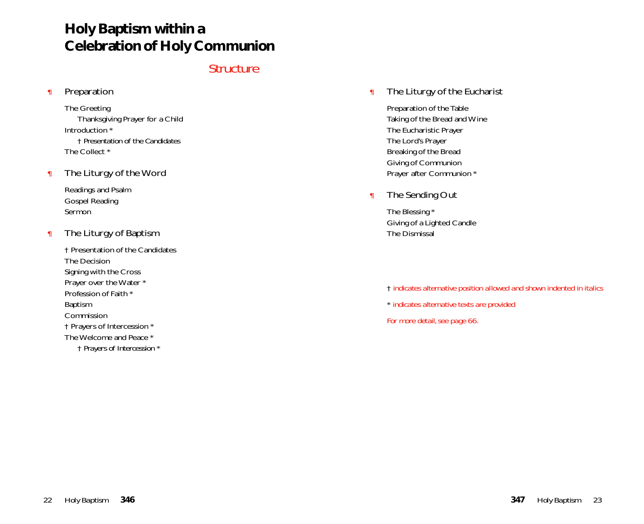## **Holy Baptism within a Celebration of Holy Communion**

## *Structure*

¶ Preparation

The Greeting Thanksgiving Prayer for a Child Introduction \* *† Presentation of the Candidates* The Collect \*

### ¶ The Liturgy of the Word

Readings and Psalm Gospel Reading Sermon

## ¶ The Liturgy of Baptism

† Presentation of the Candidates The Decision Signing with the Cross Prayer over the Water \* Profession of Faith \* Baptism Commission † Prayers of Intercession \* The Welcome and Peace \* *† Prayers of Intercession \**

## **The Liturgy of the Eucharist**

Preparation of the Table Taking of the Bread and Wine The Eucharistic Prayer The Lord's Prayer Breaking of the Bread Giving of Communion Prayer after Communion \*

¶ The Sending Out

The Blessing \* Giving of a Lighted Candle The Dismissal

*† indicates alternative position allowed and shown indented in italics*

- *\* indicates alternative texts are provided*
- *For more detail, see page 66.*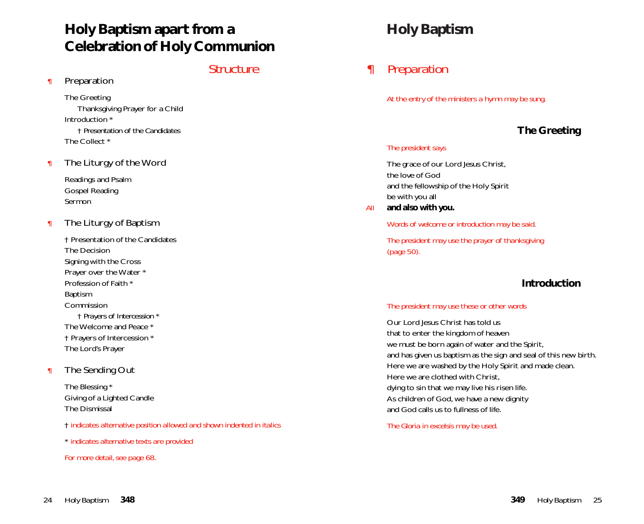## **Holy Baptism apart from a Celebration of Holy Communion**

*Structure*

### ¶ Preparation

The Greeting Thanksgiving Prayer for a Child Introduction \* *† Presentation of the Candidates* The Collect \*

### ¶ The Liturgy of the Word

Readings and Psalm Gospel Reading Sermon

### **The Liturgy of Baptism**

† Presentation of the Candidates The Decision Signing with the Cross Prayer over the Water \* Profession of Faith \* Baptism Commission *† Prayers of Intercession \** The Welcome and Peace \* † Prayers of Intercession \* The Lord's Prayer

### ¶ The Sending Out

The Blessing \* Giving of a Lighted Candle The Dismissal

*† indicates alternative position allowed and shown indented in italics*

*\* indicates alternative texts are provided*

*For more detail, see page 68.*

## **Holy Baptism**

## ¶ *Preparation*

*At the entry of the ministers a hymn may be sung.*

## **The Greeting**

### *The president says*

The grace of our Lord Jesus Christ, the love of God and the fellowship of the Holy Spirit be with you all

*All* **and also with you.**

*Words of welcome or introduction may be said.*

*The president may use the prayer of thanksgiving (page 50).*

### **Introduction**

#### *The president may use these or other words*

Our Lord Jesus Christ has told us that to enter the kingdom of heaven we must be born again of water and the Spirit, and has given us baptism as the sign and seal of this new birth. Here we are washed by the Holy Spirit and made clean. Here we are clothed with Christ, dying to sin that we may live his risen life. As children of God, we have a new dignity and God calls us to fullness of life.

*The Gloria in excelsis may be used.*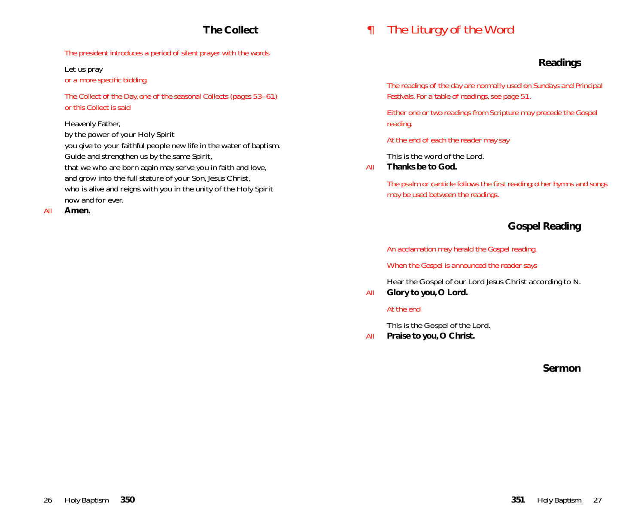## **The Collect**

*The president introduces a period of silent prayer with the words* 

Let us pray *or a more specific bidding.*

*The Collect of the Day, one of the seasonal Collects (pages 53–61) or this Collect is said*

Heavenly Father,

by the power of your Holy Spirit you give to your faithful people new life in the water of baptism. Guide and strengthen us by the same Spirit, that we who are born again may serve you in faith and love, and grow into the full stature of your Son, Jesus Christ,

who is alive and reigns with you in the unity of the Holy Spirit now and for ever.

*All* **Amen.**

## *¶ The Liturgy of the Word*

## **Readings**

*The readings of the day are normally used on Sundays and Principal Festivals. For a table of readings, see page 51.*

*Either one or two readings from Scripture may precede the Gospel reading.*

*At the end of each the reader may say*

This is the word of the Lord.

### *All* **Thanks be to God.**

*The psalm or canticle follows the first reading; other hymns and songs may be used between the readings.*

## **Gospel Reading**

*An acclamation may herald the Gospel reading.*

*When the Gospel is announced the reader says*

Hear the Gospel of our Lord Jesus Christ according to *N*.

*All* **Glory to you, O Lord.**

### *At the end*

This is the Gospel of the Lord.

**All Praise to you, O Christ.** 

**Sermon**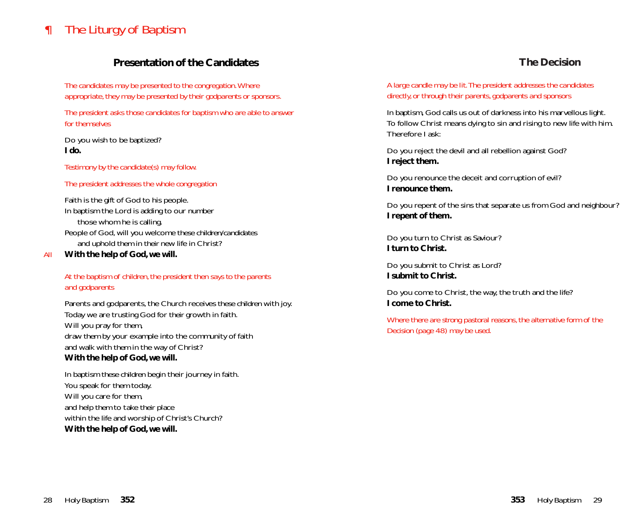## *¶ The Liturgy of Baptism*

## **Presentation of the Candidates**

*The candidates may be presented to the congregation. Where appropriate, they may be presented by their godparents or sponsors.*

*The president asks those candidates for baptism who are able to answer for themselves*

Do you wish to be baptized? **I do.**

*Testimony by the candidate(s) may follow.*

### *The president addresses the whole congregation*

Faith is the gift of God to his people. In baptism the Lord is adding to our number those whom he is calling. People of God, will you welcome *these children/candidates* and uphold *them* in *their* new life in Christ?

### *All* **With the help of God, we will.**

### *At the baptism of children, the president then says to the parents and godparents*

Parents and godparents, the Church receives *these children* with joy. Today we are trusting God for *their* growth in faith. Will you pray for *them*, draw *them* by your example into the community of faith and walk with *them* in the way of Christ? **With the help of God, we will.**

In baptism *these children* begin their journey in faith. You speak for *them* today. Will you care for *them*, and help *them* to take *their* place within the life and worship of Christ's Church? **With the help of God, we will.**

*A large candle may be lit. The president addresses the candidates directly, or through their parents, godparents and sponsors*

In baptism, God calls us out of darkness into his marvellous light. To follow Christ means dying to sin and rising to new life with him. Therefore I ask:

Do you reject the devil and all rebellion against God? **I reject them.**

Do you renounce the deceit and corruption of evil? **I renounce them.**

Do you repent of the sins that separate us from God and neighbour? **I repent of them.**

Do you turn to Christ as Saviour? **I turn to Christ.**

Do you submit to Christ as Lord? **I submit to Christ.**

Do you come to Christ, the way, the truth and the life? **I come to Christ.**

*Where there are strong pastoral reasons, the alternative form of the Decision (page 48) may be used.*

## **The Decision**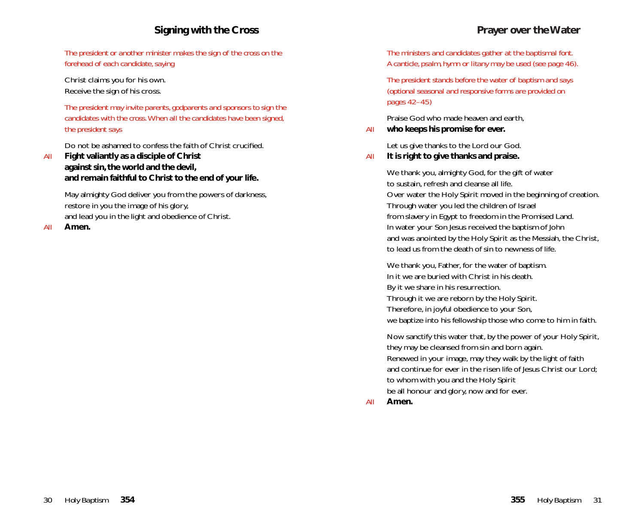## **Signing with the Cross**

### **Prayer over the Water**

*The president or another minister makes the sign of the cross on the forehead of each candidate, saying*

Christ claims you for his own. Receive the sign of his cross.

*The president may invite parents, godparents and sponsors to sign the candidates with the cross. When all the candidates have been signed, the president says*

Do not be ashamed to confess the faith of Christ crucified.

*All* **Fight valiantly as a disciple of Christ against sin, the world and the devil, and remain faithful to Christ to the end of your life.**

May almighty God deliver you from the powers of darkness, restore in you the image of his glory, and lead you in the light and obedience of Christ.

*All* **Amen.**

*The ministers and candidates gather at the baptismal font. A canticle, psalm, hymn or litany may be used (see page 46).*

*The president stands before the water of baptism and says (optional seasonal and responsive forms are provided on pages 42–45)*

Praise God who made heaven and earth,

*All* **who keeps his promise for ever.**

Let us give thanks to the Lord our God.

*All* **It is right to give thanks and praise.**

We thank you, almighty God, for the gift of water to sustain, refresh and cleanse all life. Over water the Holy Spirit moved in the beginning of creation. Through water you led the children of Israel from slavery in Egypt to freedom in the Promised Land. In water your Son Jesus received the baptism of John and was anointed by the Holy Spirit as the Messiah, the Christ, to lead us from the death of sin to newness of life.

We thank you, Father, for the water of baptism. In it we are buried with Christ in his death. By it we share in his resurrection. Through it we are reborn by the Holy Spirit. Therefore, in joyful obedience to your Son, we baptize into his fellowship those who come to him in faith.

Now sanctify this water that, by the power of your Holy Spirit, they may be cleansed from sin and born again. Renewed in your image, may they walk by the light of faith and continue for ever in the risen life of Jesus Christ our Lord; to whom with you and the Holy Spirit be all honour and glory, now and for ever.

*All* **Amen.**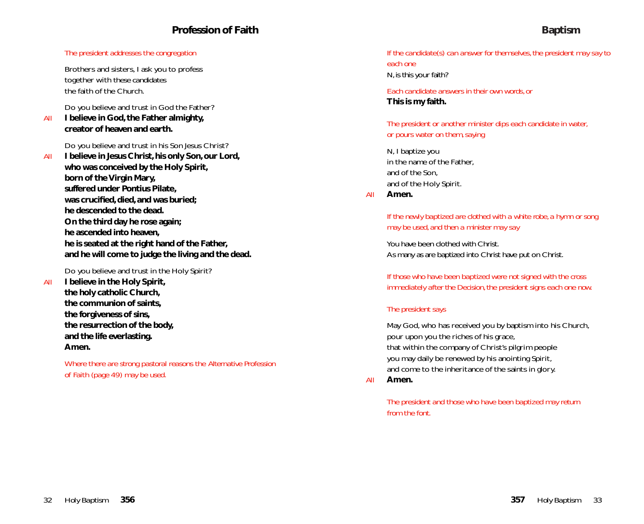## **Profession of Faith**

#### *The president addresses the congregation*

Brothers and sisters, I ask you to profess together with *these candidates* the faith of the Church.

Do you believe and trust in God the Father?

*All* **I believe in God, the Father almighty, creator of heaven and earth.**

Do you believe and trust in his Son Jesus Christ?

*All* **I believe in Jesus Christ, his only Son, our Lord, who was conceived by the Holy Spirit, born of the Virgin Mary, suffered under Pontius Pilate, was crucified, died, and was buried; he descended to the dead. On the third day he rose again; he ascended into heaven, he is seated at the right hand of the Father, and he will come to judge the living and the dead.**

Do you believe and trust in the Holy Spirit?

*All* **I believe in the Holy Spirit, the holy catholic Church, the communion of saints, the forgiveness of sins, the resurrection of the body, and the life everlasting. Amen.**

> *Where there are strong pastoral reasons the Alternative Profession of Faith (page 49) may be used.*

*If the candidate(s) can answer for themselves, the president may say to each one N*, is this your faith?

*Each candidate answers in their own words, or* **This is my faith.**

*The president or another minister dips each candidate in water, or pours water on them, saying*

*N*, I baptize you in the name of the Father, and of the Son, and of the Holy Spirit.

### *All* **Amen.**

*If the newly baptized are clothed with a white robe, a hymn or song may be used, and then a minister may say*

You have been clothed with Christ. As many as are baptized into Christ have put on Christ.

*If those who have been baptized were not signed with the cross immediately after the Decision, the president signs each one now.*

### *The president says*

May God, who has received you by baptism into his Church, pour upon you the riches of his grace, that within the company of Christ's pilgrim people you may daily be renewed by his anointing Spirit, and come to the inheritance of the saints in glory.

*All* **Amen.**

*The president and those who have been baptized may return from the font.*

## **Baptism**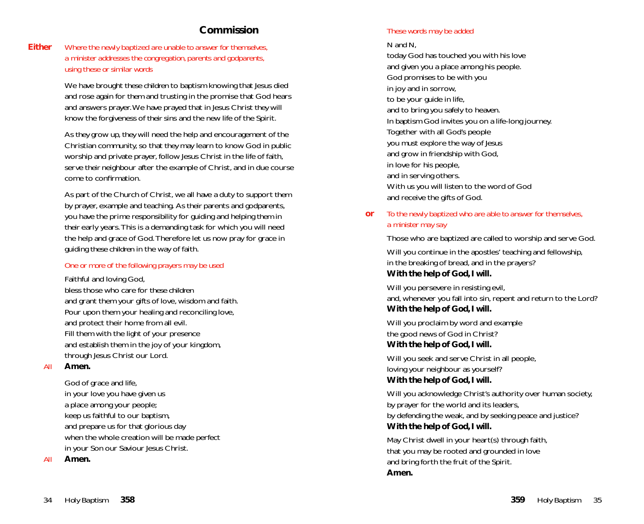### **Commission**

### **Either** *Where the newly baptized are unable to answer for themselves, a minister addresses the congregation, parents and godparents, using these or similar words*

We have brought *these children* to baptism knowing that Jesus died and rose again for *them* and trusting in the promise that God hears and answers prayer.We have prayed that in Jesus Christ *they* will know the forgiveness of *their* sins and the new life of the Spirit.

As *they* grow up, *they* will need the help and encouragement of the Christian community, so that *they* may learn to know God in public worship and private prayer, follow Jesus Christ in the life of faith, serve *their* neighbour after the example of Christ, and in due course come to confirmation.

As part of the Church of Christ, we all have a duty to support *them* by prayer, example and teaching. As *their* parents and godparents, you have the prime responsibility for guiding and helping *them* in *their* early years. This is a demanding task for which you will need the help and grace of God. Therefore let us now pray for grace in guiding *these children* in the way of faith.

#### *One or more of the following prayers may be used*

Faithful and loving God, bless those who care for *these children* and grant them your gifts of love, wisdom and faith. Pour upon them your healing and reconciling love, and protect their home from all evil. Fill them with the light of your presence and establish them in the joy of your kingdom, through Jesus Christ our Lord.

#### *All* **Amen.**

God of grace and life, in your love you have given us a place among your people; keep us faithful to our baptism, and prepare us for that glorious day when the whole creation will be made perfect in your Son our Saviour Jesus Christ.

*All* **Amen.**

#### *These words may be added*

*N and N*,

today God has touched you with his love and given you a place among his people. God promises to be with you in joy and in sorrow, to be your guide in life, and to bring you safely to heaven. In baptism God invites you on a life-long journey. Together with all God's people you must explore the way of Jesus and grow in friendship with God, in love for his people, and in serving others. With us you will listen to the word of God and receive the gifts of God.

### **or** *To the newly baptized who are able to answer for themselves, a minister may say*

Those who are baptized are called to worship and serve God.

Will you continue in the apostles' teaching and fellowship, in the breaking of bread, and in the prayers?

### **With the help of God, I will.**

Will you persevere in resisting evil, and, whenever you fall into sin, repent and return to the Lord? **With the help of God, I will.**

Will you proclaim by word and example the good news of God in Christ? **With the help of God, I will.**

Will you seek and serve Christ in all people, loving your neighbour as yourself? **With the help of God, I will.**

Will you acknowledge Christ's authority over human society, by prayer for the world and its leaders, by defending the weak, and by seeking peace and justice? **With the help of God, I will.**

May Christ dwell in your heart(s) through faith, that you may be rooted and grounded in love and bring forth the fruit of the Spirit. **Amen.**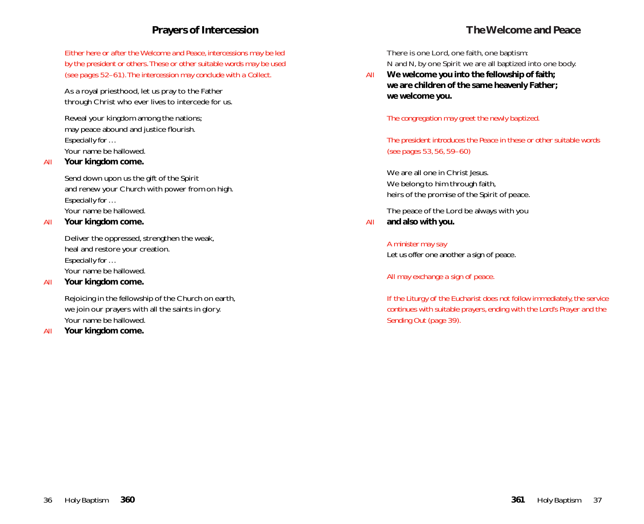## **Prayers of Intercession**

*Either here or after the Welcome and Peace, intercessions may be led by the president or others. These or other suitable words may be used (see pages 52–61). The intercession may conclude with a Collect.*

As a royal priesthood, let us pray to the Father through Christ who ever lives to intercede for us.

Reveal your kingdom among the nations; may peace abound and justice flourish. *Especially for …* Your name be hallowed.

### *All* **Your kingdom come.**

Send down upon us the gift of the Spirit and renew your Church with power from on high. *Especially for …* Your name be hallowed.

### *All* **Your kingdom come.**

Deliver the oppressed, strengthen the weak, heal and restore your creation. *Especially for …* Your name be hallowed.

### *All* **Your kingdom come.**

Rejoicing in the fellowship of the Church on earth, we join our prayers with all the saints in glory. Your name be hallowed.

### *All* **Your kingdom come.**

There is one Lord, one faith, one baptism: *N and N*, by one Spirit we are all baptized into one body.

*All* **We welcome you into the fellowship of faith; we are children of the same heavenly Father; we welcome you.**

### *The congregation may greet the newly baptized.*

*The president introduces the Peace in these or other suitable words (see pages 53, 56, 59–60)*

We are all one in Christ Jesus. We belong to him through faith, heirs of the promise of the Spirit of peace.

The peace of the Lord be always with you *All* **and also with you.**

> *A minister may say* Let us offer one another a sign of peace.

*All may exchange a sign of peace.*

*If the Liturgy of the Eucharist does not follow immediately, the service continues with suitable prayers, ending with the Lord's Prayer and the Sending Out (page 39).*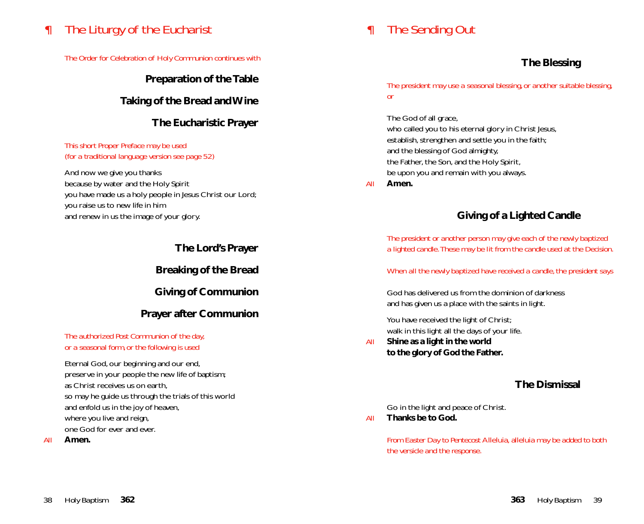## *¶ The Liturgy of the Eucharist*

### *The Order for Celebration of Holy Communion continues with*

**Preparation of the Table**

## **Taking of the Bread and Wine**

### **The Eucharistic Prayer**

### *This short Proper Preface may be used (for a traditional language version see page 52)*

And now we give you thanks because by water and the Holy Spirit you have made us a holy people in Jesus Christ our Lord; you raise us to new life in him and renew in us the image of your glory.

## **The Lord's Prayer**

### **Breaking of the Bread**

### **Giving of Communion**

## **Prayer after Communion**

### *The authorized Post Communion of the day, or a seasonal form, or the following is used*

Eternal God, our beginning and our end, preserve in your people the new life of baptism; as Christ receives us on earth, so may he guide us through the trials of this world and enfold us in the joy of heaven, where you live and reign, one God for ever and ever.

#### *All* **Amen.**

## *¶ The Sending Out*

## **The Blessing**

*The president may use a seasonal blessing, or another suitable blessing, or*

The God of all grace, who called you to his eternal glory in Christ Jesus, establish, strengthen and settle you in the faith; and the blessing of God almighty, the Father, the Son, and the Holy Spirit, be upon you and remain with you always.

*All* **Amen.**

## **Giving of a Lighted Candle**

*The president or another person may give each of the newly baptized a lighted candle. These may be lit from the candle used at the Decision.*

*When all the newly baptized have received a candle, the president says*

God has delivered us from the dominion of darkness and has given us a place with the saints in light.

You have received the light of Christ; walk in this light all the days of your life. *All* **Shine as a light in the world to the glory of God the Father.**

## **The Dismissal**

Go in the light and peace of Christ.

*All* **Thanks be to God.**

*From Easter Day to Pentecost* Alleluia, alleluia *may be added to both the versicle and the response.*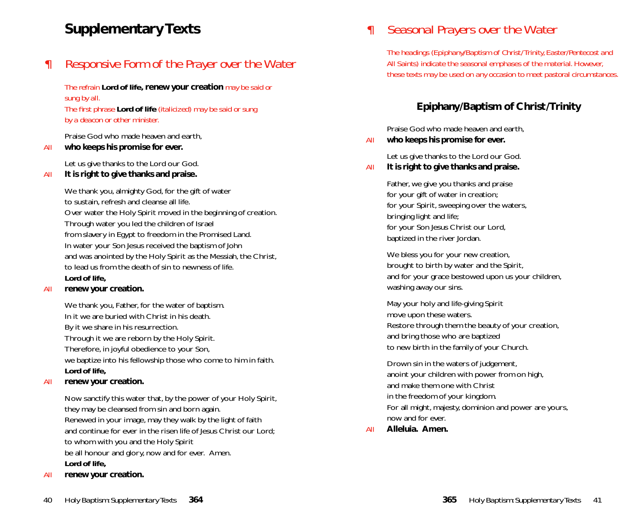## **Supplementary Texts**

## *¶ Responsive Form of the Prayer over the Water*

*The refrain Lord of life,* **renew your creation** *may be said or sung by all. The first phrase Lord of life (italicized) may be said or sung by a deacon or other minister.*

Praise God who made heaven and earth,

### *All* **who keeps his promise for ever.**

Let us give thanks to the Lord our God.

### *All* **It is right to give thanks and praise.**

We thank you, almighty God, for the gift of water to sustain, refresh and cleanse all life. Over water the Holy Spirit moved in the beginning of creation. Through water you led the children of Israel from slavery in Egypt to freedom in the Promised Land. In water your Son Jesus received the baptism of John and was anointed by the Holy Spirit as the Messiah, the Christ, to lead us from the death of sin to newness of life. *Lord of life,*

### *All* **renew your creation.**

We thank you, Father, for the water of baptism. In it we are buried with Christ in his death. By it we share in his resurrection. Through it we are reborn by the Holy Spirit. Therefore, in joyful obedience to your Son, we baptize into his fellowship those who come to him in faith. *Lord of life,*

### *All* **renew your creation.**

Now sanctify this water that, by the power of your Holy Spirit, they may be cleansed from sin and born again. Renewed in your image, may they walk by the light of faith and continue for ever in the risen life of Jesus Christ our Lord; to whom with you and the Holy Spirit be all honour and glory, now and for ever. Amen. *Lord of life,*

*All* **renew your creation.**

## *¶ Seasonal Prayers over the Water*

*The headings (Epiphany/Baptism of Christ/Trinity, Easter/Pentecost and All Saints) indicate the seasonal emphases of the material. However, these texts may be used on any occasion to meet pastoral circumstances.*

## **Epiphany/Baptism of Christ/Trinity**

Praise God who made heaven and earth,

*All* **who keeps his promise for ever.**

Let us give thanks to the Lord our God.

### *All* **It is right to give thanks and praise.**

Father, we give you thanks and praise for your gift of water in creation; for your Spirit, sweeping over the waters, bringing light and life; for your Son Jesus Christ our Lord, baptized in the river Jordan.

We bless you for your new creation, brought to birth by water and the Spirit, and for your grace bestowed upon us your children, washing away our sins.

May your holy and life-giving Spirit move upon these waters. Restore through them the beauty of your creation, and bring those who are baptized to new birth in the family of your Church.

Drown sin in the waters of judgement, anoint your children with power from on high, and make them one with Christ in the freedom of your kingdom. For all might, majesty, dominion and power are yours, now and for ever.

*All* **Alleluia. Amen.**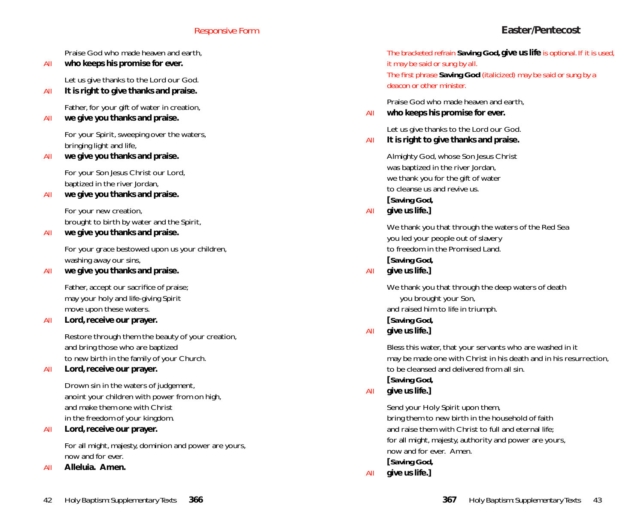## *Responsive Form*

**Easter/Pentecost**

Praise God who made heaven and earth,

*All* **who keeps his promise for ever.**

Let us give thanks to the Lord our God.

*All* **It is right to give thanks and praise.**

Father, for your gift of water in creation,

*All* **we give you thanks and praise.**

For your Spirit, sweeping over the waters, bringing light and life,

*All* **we give you thanks and praise.**

For your Son Jesus Christ our Lord, baptized in the river Jordan,

*All* **we give you thanks and praise.**

For your new creation, brought to birth by water and the Spirit,

*All* **we give you thanks and praise.**

For your grace bestowed upon us your children, washing away our sins,

*All* **we give you thanks and praise.**

Father, accept our sacrifice of praise; may your holy and life-giving Spirit move upon these waters.

### *All* **Lord, receive our prayer.**

Restore through them the beauty of your creation, and bring those who are baptized to new birth in the family of your Church.

### *All* **Lord, receive our prayer.**

Drown sin in the waters of judgement, anoint your children with power from on high, and make them one with Christ in the freedom of your kingdom.

### *All* **Lord, receive our prayer.**

For all might, majesty, dominion and power are yours, now and for ever.

*All* **Alleluia. Amen.**

*The bracketed refrain Saving God,* **give us life** *is optional. If it is used, it may be said or sung by all. The first phrase Saving God (italicized) may be said or sung by a deacon or other minister.*

Praise God who made heaven and earth

*All* **who keeps his promise for ever.**

Let us give thanks to the Lord our God.

*All* **It is right to give thanks and praise.**

Almighty God, whose Son Jesus Christ was baptized in the river Jordan, we thank you for the gift of water to cleanse us and revive us. **[***Saving God,*

*All* **give us life.]**

We thank you that through the waters of the Red Sea you led your people out of slavery to freedom in the Promised Land. **[***Saving God,*

*All* **give us life.]**

We thank you that through the deep waters of death you brought your Son, and raised him to life in triumph.

### **[***Saving God,*

### *All* **give us life.]**

Bless this water, that your servants who are washed in it may be made one with Christ in his death and in his resurrection, to be cleansed and delivered from all sin.

### **[***Saving God,*

### *All* **give us life.]**

Send your Holy Spirit upon them, bring them to new birth in the household of faith and raise them with Christ to full and eternal life; for all might, majesty, authority and power are yours, now and for ever. Amen. **[***Saving God,*

*All* **give us life.]**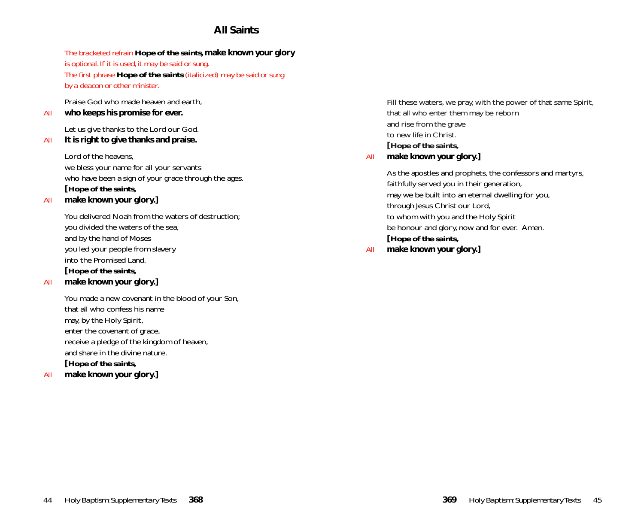### **All Saints**

*The bracketed refrain Hope of the saints***, make known your glory** *is optional. If it is used, it may be said or sung. The first phrase Hope of the saints (italicized) may be said or sung by a deacon or other minister.*

Praise God who made heaven and earth.

#### *All* **who keeps his promise for ever.**

Let us give thanks to the Lord our God.

### *All* **It is right to give thanks and praise.**

Lord of the heavens, we bless your name for all your servants who have been a sign of your grace through the ages. **[***Hope of the saints,*

### *All* **make known your glory.]**

You delivered Noah from the waters of destruction; you divided the waters of the sea, and by the hand of Moses you led your people from slavery into the Promised Land. **[***Hope of the saints,*

### *All* **make known your glory.]**

You made a new covenant in the blood of your Son, that all who confess his name may, by the Holy Spirit, enter the covenant of grace, receive a pledge of the kingdom of heaven, and share in the divine nature. **[***Hope of the saints,*

*All* **make known your glory.]**

Fill these waters, we pray, with the power of that same Spirit, that all who enter them may be reborn and rise from the grave to new life in Christ. **[***Hope of the saints,*

### *All* **make known your glory.]**

As the apostles and prophets, the confessors and martyrs, faithfully served you in their generation, may we be built into an eternal dwelling for you, through Jesus Christ our Lord, to whom with you and the Holy Spirit be honour and glory, now and for ever. Amen. **[***Hope of the saints,*

*All* **make known your glory.]**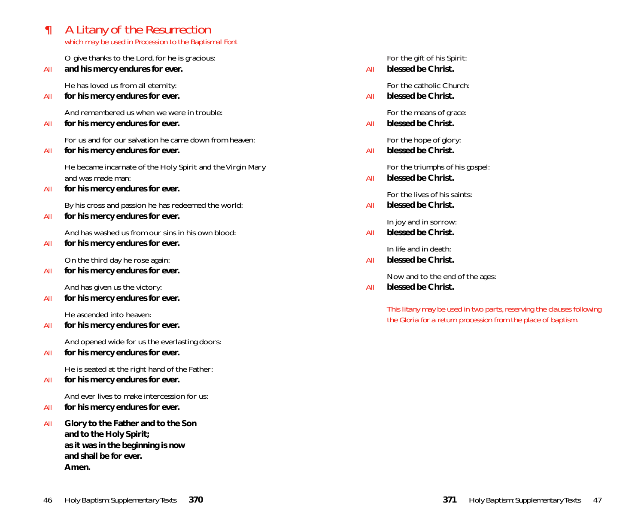| $\P$ | A Litany of the Resurrection<br>which may be used in Procession to the Baptismal Font                                                 |
|------|---------------------------------------------------------------------------------------------------------------------------------------|
| All  | O give thanks to the Lord, for he is gracious:<br>and his mercy endures for ever.                                                     |
| All  | He has loved us from all eternity:<br>for his mercy endures for ever.                                                                 |
| All  | And remembered us when we were in trouble:<br>for his mercy endures for ever.                                                         |
| All  | For us and for our salvation he came down from heaven:<br>for his mercy endures for ever.                                             |
| All  | He became incarnate of the Holy Spirit and the Virgin Mary<br>and was made man:<br>for his mercy endures for ever.                    |
| All  | By his cross and passion he has redeemed the world:<br>for his mercy endures for ever.                                                |
| All  | And has washed us from our sins in his own blood:<br>for his mercy endures for ever.                                                  |
| All  | On the third day he rose again:<br>for his mercy endures for ever.                                                                    |
| All  | And has given us the victory:<br>for his mercy endures for ever.                                                                      |
| All  | He ascended into heaven:<br>for his mercy endures for ever.                                                                           |
| All  | And opened wide for us the everlasting doors:<br>for his mercy endures for ever.                                                      |
| All  | He is seated at the right hand of the Father:<br>for his mercy endures for ever.                                                      |
| All  | And ever lives to make intercession for us:<br>for his mercy endures for ever.                                                        |
| All  | Glory to the Father and to the Son<br>and to the Holy Spirit;<br>as it was in the beginning is now<br>and shall be for ever.<br>Amen. |

For the catholic Church: *All* **blessed be Christ.** For the means of grace: *All* **blessed be Christ.** For the hope of glory: *All* **blessed be Christ.** For the triumphs of his gospel: *All* **blessed be Christ.** For the lives of his saints: *All* **blessed be Christ.** In joy and in sorrow: *All* **blessed be Christ.**

For the gift of his Spirit:

*All* **blessed be Christ.**

In life and in death:

*All* **blessed be Christ.**

Now and to the end of the ages:

*All* **blessed be Christ.**

*This litany may be used in two parts, reserving the clauses following the Gloria for a return procession from the place of baptism.*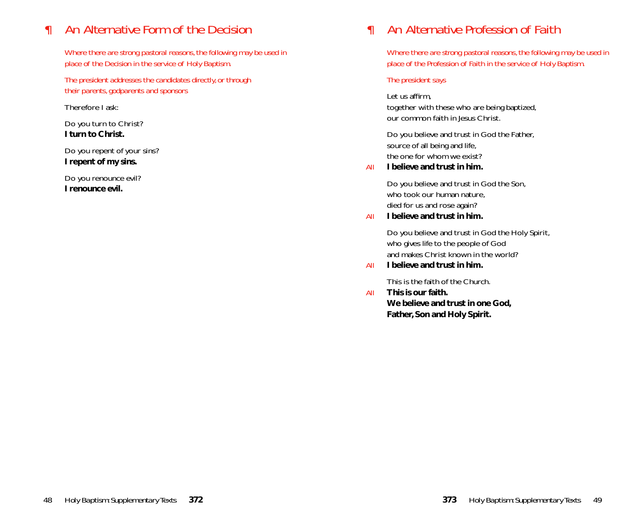## *¶ An Alternative Form of the Decision*

*Where there are strong pastoral reasons, the following may be used in place of the Decision in the service of Holy Baptism.*

*The president addresses the candidates directly, or through their parents, godparents and sponsors*

Therefore I ask:

Do you turn to Christ? **I turn to Christ.**

Do you repent of your sins? **I repent of my sins.**

Do you renounce evil? **I renounce evil.**

## *¶ An Alternative Profession of Faith*

*Where there are strong pastoral reasons, the following may be used in place of the Profession of Faith in the service of Holy Baptism.*

*The president says*

Let us affirm, together with these who are being baptized, our common faith in Jesus Christ.

Do you believe and trust in God the Father, source of all being and life, the one for whom we exist?

### *All* **I believe and trust in him.**

Do you believe and trust in God the Son, who took our human nature, died for us and rose again?

*All* **I believe and trust in him.**

Do you believe and trust in God the Holy Spirit, who gives life to the people of God and makes Christ known in the world?

*All* **I believe and trust in him.**

This is the faith of the Church.

*All* **This is our faith. We believe and trust in one God, Father, Son and Holy Spirit.**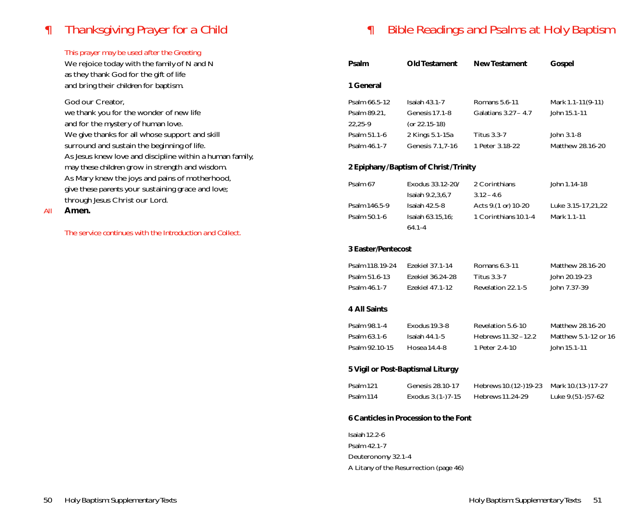## *¶ Thanksgiving Prayer for a Child*

### *This prayer may be used after the Greeting*

We rejoice today with the *family* of *N* and *N* as they thank God for the gift of life and bring their *children* for baptism.

### God our Creator,

we thank you for the wonder of new life and for the mystery of human love. We give thanks for all whose support and skill surround and sustain the beginning of life. As Jesus knew love and discipline within a human family, may *these children* grow in strength and wisdom. As Mary knew the joys and pains of motherhood, give *these parents* your sustaining grace and love; through Jesus Christ our Lord.

#### *All* **Amen.**

*The service continues with the Introduction and Collect.*

## *¶ Bible Readings and Psalms at Holy Baptism*

| Psalm                             | <b>Old Testament</b>                     | <b>New Testament</b>  | Gospel               |  |
|-----------------------------------|------------------------------------------|-----------------------|----------------------|--|
| 1 General                         |                                          |                       |                      |  |
| Psalm 66.5-12                     | Isaiah 43.1-7                            | Romans 5.6-11         | Mark 1.1-11(9-11)    |  |
| Psalm 89.21,                      | Genesis 17.1-8                           | Galatians 3.27 - 4.7  | John 15.1-11         |  |
| 22,25-9                           | $(or 22.15-18)$                          |                       |                      |  |
| Psalm 51.1-6                      | 2 Kings 5.1-15a                          | Titus 3.3-7           | John 3.1-8           |  |
| Psalm 46.1-7                      | Genesis 7.1,7-16                         | 1 Peter 3.18-22       | Matthew 28.16-20     |  |
|                                   | 2 Epiphany / Baptism of Christ / Trinity |                       |                      |  |
| Psalm 67                          | Exodus 33.12-20/                         | 2 Corinthians         | John 1.14-18         |  |
|                                   | Isaiah 9.2,3,6,7                         | $3.12 - 4.6$          |                      |  |
| Psalm 146.5-9                     | <b>Isaiah 42.5-8</b>                     | Acts 9.(1 or) 10-20   | Luke 3.15-17,21,22   |  |
| Psalm 50.1-6                      | Isaiah 63.15,16;                         | 1 Corinthians 10.1-4  | Mark 1.1-11          |  |
|                                   | $64.1 - 4$                               |                       |                      |  |
| 3 Easter/Pentecost                |                                          |                       |                      |  |
| Psalm 118, 19-24                  | Ezekiel 37.1-14                          | Romans 6.3-11         | Matthew 28.16-20     |  |
| Psalm 51.6-13                     | Ezekiel 36.24-28                         | Titus 3.3-7           | John 20.19-23        |  |
| Psalm 46.1-7                      | Ezekiel 47.1-12                          | Revelation 22.1-5     | John 7.37-39         |  |
| 4 All Saints                      |                                          |                       |                      |  |
| Psalm 98.1-4                      | Exodus 19.3-8                            | Revelation 5.6-10     | Matthew 28.16-20     |  |
| Psalm 63.1-6                      | Isaiah 44.1-5                            | Hebrews 11.32-12.2    | Matthew 5.1-12 or 16 |  |
| Psalm 92.10-15                    | Hosea 14.4-8                             | 1 Peter 2.4-10        | John 15.1-11         |  |
| 5 Vigil or Post-Baptismal Liturgy |                                          |                       |                      |  |
| Psalm <sub>121</sub>              | Genesis 28.10-17                         | Hebrews 10.(12-)19-23 | Mark 10.(13-)17-27   |  |
| Psalm 114                         | Exodus 3.(1-)7-15                        | Hebrews 11.24-29      | Luke 9.(51-)57-62    |  |
|                                   | 6 Canticles in Procession to the Font    |                       |                      |  |
| <b>Isaiah 12.2-6</b>              |                                          |                       |                      |  |
| Psalm 42.1-7                      |                                          |                       |                      |  |
| Deuteronomy 32.1-4                |                                          |                       |                      |  |
|                                   | A Litany of the Resurrection (page 46)   |                       |                      |  |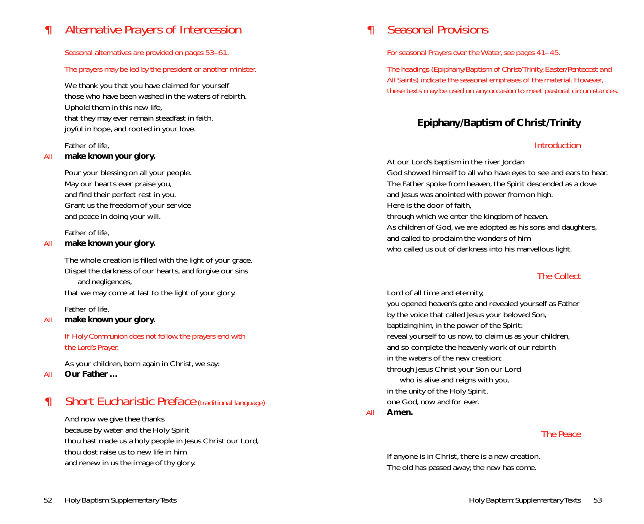## *¶ Alternative Prayers of Intercession*

### *Seasonal alternatives are provided on pages 53–61.*

### *The prayers may be led by the president or another minister.*

We thank you that you have claimed for yourself those who have been washed in the waters of rebirth. Uphold them in this new life, that they may ever remain steadfast in faith, joyful in hope, and rooted in your love.

Father of life,

### *All* **make known your glory.**

Pour your blessing on all your people. May our hearts ever praise you, and find their perfect rest in you. Grant us the freedom of your service and peace in doing your will.

Father of life,

### *All* **make known your glory.**

The whole creation is filled with the light of your grace. Dispel the darkness of our hearts, and forgive our sins and negligences, that we may come at last to the light of your glory.

Father of life,

### *All* **make known your glory.**

*If Holy Communion does not follow, the prayers end with the Lord's Prayer.*

As your children, born again in Christ, we say:

*All* **Our Father …**

## *¶ Short Eucharistic Preface (traditional language)*

And now we give thee thanks because by water and the Holy Spirit thou hast made us a holy people in Jesus Christ our Lord, thou dost raise us to new life in him and renew in us the image of thy glory.

## *¶ Seasonal Provisions*

*For seasonal Prayers over the Water, see pages 41–45.*

*The headings (Epiphany/Baptism of Christ/Trinity, Easter/Pentecost and All Saints) indicate the seasonal emphases of the material. However, these texts may be used on any occasion to meet pastoral circumstances.*

## **Epiphany/Baptism of Christ/Trinity**

### *Introduction*

At our Lord's baptism in the river Jordan God showed himself to all who have eyes to see and ears to hear. The Father spoke from heaven, the Spirit descended as a dove and Jesus was anointed with power from on high. Here is the door of faith, through which we enter the kingdom of heaven. As children of God, we are adopted as his sons and daughters, and called to proclaim the wonders of him who called us out of darkness into his marvellous light.

### *The Collect*

Lord of all time and eternity, you opened heaven's gate and revealed yourself as Father by the voice that called Jesus your beloved Son, baptizing him, in the power of the Spirit: reveal yourself to us now, to claim us as your children, and so complete the heavenly work of our rebirth in the waters of the new creation; through Jesus Christ your Son our Lord who is alive and reigns with you, in the unity of the Holy Spirit, one God, now and for ever.

*All* **Amen.**

### *The Peace*

If anyone is in Christ, there is a new creation. The old has passed away; the new has come.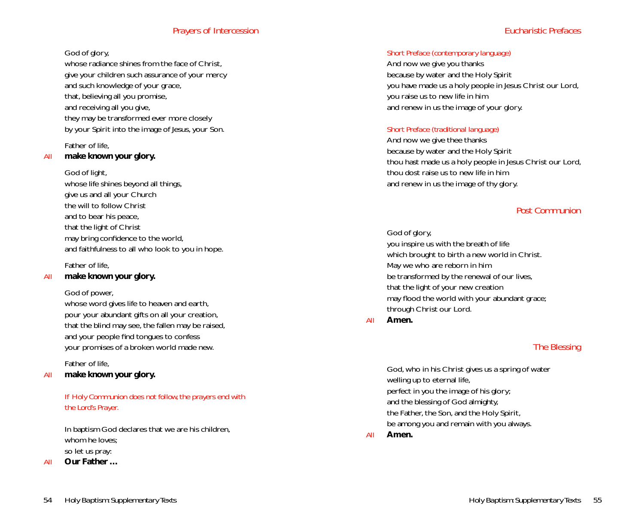## *Prayers of Intercession*

### *Eucharistic Prefaces*

#### God of glory,

whose radiance shines from the face of Christ. give your children such assurance of your mercy and such knowledge of your grace, that, believing all you promise, and receiving all you give, they may be transformed ever more closely by your Spirit into the image of Jesus, your Son.

#### Father of life,

#### *All* **make known your glory.**

#### God of light,

whose life shines beyond all things, give us and all your Church the will to follow Christ and to bear his peace, that the light of Christ may bring confidence to the world, and faithfulness to all who look to you in hope.

Father of life,

### *All* **make known your glory.**

God of power,

whose word gives life to heaven and earth, pour your abundant gifts on all your creation, that the blind may see, the fallen may be raised, and your people find tongues to confess your promises of a broken world made new.

Father of life,

*All* **make known your glory.**

*If Holy Communion does not follow, the prayers end with the Lord's Prayer.*

In baptism God declares that we are his children, whom he loves; so let us pray:

### *All* **Our Father …**

*Short Preface (contemporary language)*

And now we give you thanks because by water and the Holy Spirit you have made us a holy people in Jesus Christ our Lord, you raise us to new life in him and renew in us the image of your glory.

#### *Short Preface (traditional language)*

And now we give thee thanks because by water and the Holy Spirit thou hast made us a holy people in Jesus Christ our Lord, thou dost raise us to new life in him and renew in us the image of thy glory.

### *Post Communion*

#### God of glory,

you inspire us with the breath of life which brought to birth a new world in Christ. May we who are reborn in him be transformed by the renewal of our lives, that the light of your new creation may flood the world with your abundant grace; through Christ our Lord.

*All* **Amen.**

### *The Blessing*

God, who in his Christ gives us a spring of water welling up to eternal life, perfect in you the image of his glory; and the blessing of God almighty, the Father, the Son, and the Holy Spirit, be among you and remain with you always.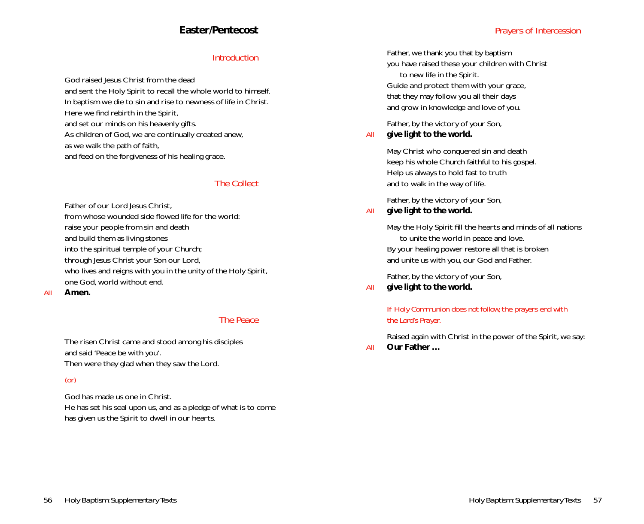## **Easter/Pentecost**

### *Introduction*

God raised Jesus Christ from the dead

and sent the Holy Spirit to recall the whole world to himself. In baptism we die to sin and rise to newness of life in Christ. Here we find rebirth in the Spirit, and set our minds on his heavenly gifts. As children of God, we are continually created anew, as we walk the path of faith, and feed on the forgiveness of his healing grace.

## *The Collect*

Father of our Lord Jesus Christ, from whose wounded side flowed life for the world: raise your people from sin and death and build them as living stones into the spiritual temple of your Church; through Jesus Christ your Son our Lord, who lives and reigns with you in the unity of the Holy Spirit, one God, world without end.

*All* **Amen.**

### *The Peace*

The risen Christ came and stood among his disciples and said 'Peace be with you'. Then were they glad when they saw the Lord.

### *(or)*

God has made us one in Christ. He has set his seal upon us, and as a pledge of what is to come has given us the Spirit to dwell in our hearts.

Father, we thank you that by baptism you have raised these your children with Christ to new life in the Spirit. Guide and protect them with your grace, that they may follow you all their days and grow in knowledge and love of you.

Father, by the victory of your Son,

### *All* **give light to the world.**

May Christ who conquered sin and death keep his whole Church faithful to his gospel. Help us always to hold fast to truth and to walk in the way of life.

Father, by the victory of your Son,

### *All* **give light to the world.**

May the Holy Spirit fill the hearts and minds of all nations to unite the world in peace and love. By your healing power restore all that is broken and unite us with you, our God and Father.

Father, by the victory of your Son,

### *All* **give light to the world.**

*If Holy Communion does not follow, the prayers end with the Lord's Prayer.*

Raised again with Christ in the power of the Spirit, we say: *All* **Our Father …**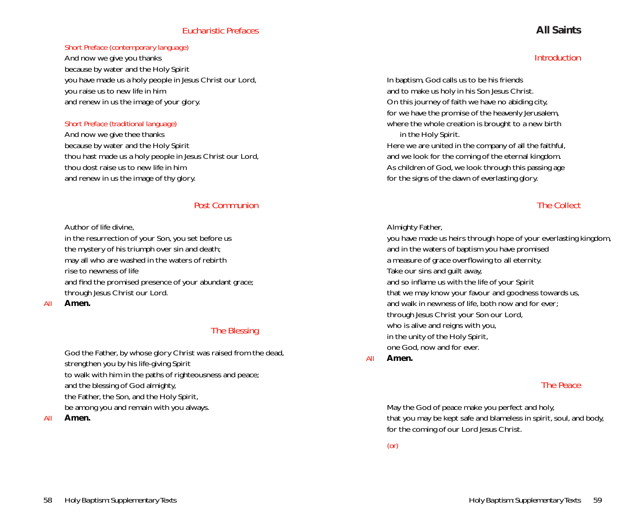## *Eucharistic Prefaces*

### *Short Preface (contemporary language)*

And now we give you thanks because by water and the Holy Spirit you have made us a holy people in Jesus Christ our Lord, you raise us to new life in him and renew in us the image of your glory.

#### *Short Preface (traditional language)*

And now we give thee thanks because by water and the Holy Spirit thou hast made us a holy people in Jesus Christ our Lord, thou dost raise us to new life in him and renew in us the image of thy glory.

### *Post Communion*

Author of life divine, in the resurrection of your Son, you set before us the mystery of his triumph over sin and death; may all who are washed in the waters of rebirth rise to newness of life and find the promised presence of your abundant grace; through Jesus Christ our Lord.

*All* **Amen.**

### *The Blessing*

God the Father, by whose glory Christ was raised from the dead, strengthen you by his life-giving Spirit to walk with him in the paths of righteousness and peace; and the blessing of God almighty, the Father, the Son, and the Holy Spirit, be among you and remain with you always.

*All* **Amen.**

In baptism, God calls us to be his friends and to make us holy in his Son Jesus Christ. On this journey of faith we have no abiding city, for we have the promise of the heavenly Jerusalem, where the whole creation is brought to a new birth in the Holy Spirit. Here we are united in the company of all the faithful, and we look for the coming of the eternal kingdom. As children of God, we look through this passing age

for the signs of the dawn of everlasting glory.

### *The Collect*

### Almighty Father,

you have made us heirs through hope of your everlasting kingdom, and in the waters of baptism you have promised a measure of grace overflowing to all eternity. Take our sins and guilt away, and so inflame us with the life of your Spirit that we may know your favour and goodness towards us, and walk in newness of life, both now and for ever; through Jesus Christ your Son our Lord, who is alive and reigns with you, in the unity of the Holy Spirit, one God, now and for ever.

*All* **Amen.**

### *The Peace*

May the God of peace make you perfect and holy, that you may be kept safe and blameless in spirit, soul, and body, for the coming of our Lord Jesus Christ.

*(or)*

## **All Saints**

*Introduction*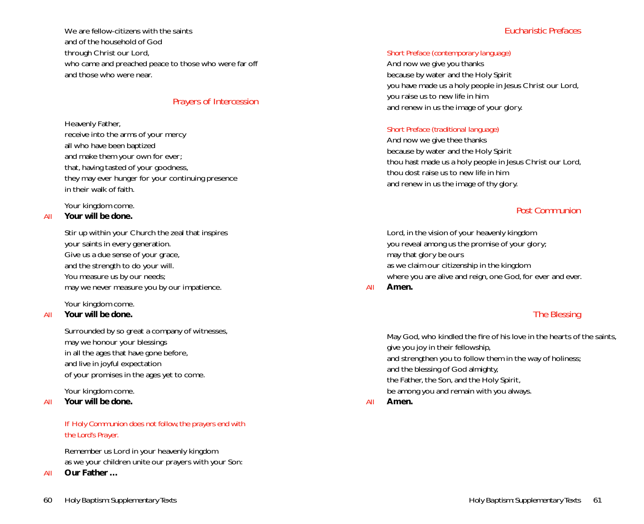We are fellow-citizens with the saints and of the household of God through Christ our Lord, who came and preached peace to those who were far off and those who were near.

### *Prayers of Intercession*

Heavenly Father, receive into the arms of your mercy all who have been baptized and make them your own for ever; that, having tasted of your goodness, they may ever hunger for your continuing presence in their walk of faith.

Your kingdom come.

### *All* **Your will be done.**

Stir up within your Church the zeal that inspires your saints in every generation. Give us a due sense of your grace, and the strength to do your will. You measure us by our needs; may we never measure you by our impatience.

Your kingdom come.

### *All* **Your will be done.**

Surrounded by so great a company of witnesses, may we honour your blessings in all the ages that have gone before, and live in joyful expectation of your promises in the ages yet to come.

Your kingdom come.

### *All* **Your will be done.**

*If Holy Communion does not follow, the prayers end with the Lord's Prayer.*

Remember us Lord in your heavenly kingdom as we your children unite our prayers with your Son:

*All* **Our Father …** 

### *Short Preface (contemporary language)*

And now we give you thanks because by water and the Holy Spirit you have made us a holy people in Jesus Christ our Lord, you raise us to new life in him and renew in us the image of your glory.

### *Short Preface (traditional language)*

And now we give thee thanks because by water and the Holy Spirit thou hast made us a holy people in Jesus Christ our Lord, thou dost raise us to new life in him and renew in us the image of thy glory.

## *Post Communion*

Lord, in the vision of your heavenly kingdom you reveal among us the promise of your glory; may that glory be ours as we claim our citizenship in the kingdom where you are alive and reign, one God, for ever and ever.

*All* **Amen.**

## *The Blessing*

May God, who kindled the fire of his love in the hearts of the saints, give you joy in their fellowship, and strengthen you to follow them in the way of holiness; and the blessing of God almighty, the Father, the Son, and the Holy Spirit, be among you and remain with you always. *All* **Amen.**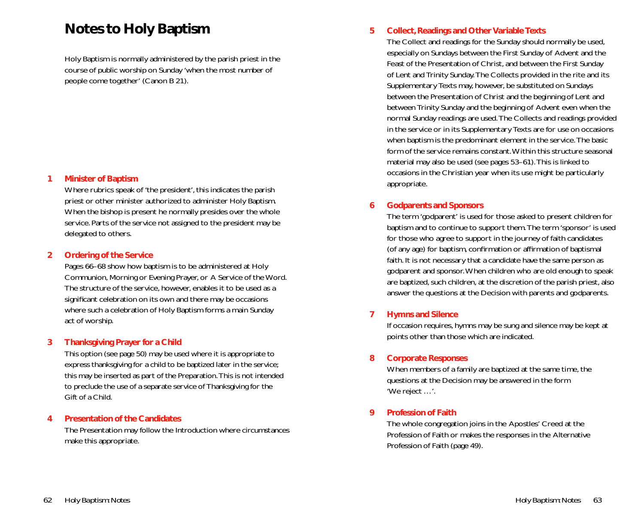## **Notes to Holy Baptism**

Holy Baptism is normally administered by the parish priest in the course of public worship on Sunday 'when the most number of people come together' (Canon B 21).

### **1 Minister of Baptism**

Where rubrics speak of 'the president', this indicates the parish priest or other minister authorized to administer Holy Baptism. When the bishop is present he normally presides over the whole service. Parts of the service not assigned to the president may be delegated to others.

### **2 Ordering of the Service**

Pages 66–68 show how baptism is to be administered at Holy Communion, Morning or Evening Prayer, or A Service of the Word. The structure of the service, however, enables it to be used as a significant celebration on its own and there may be occasions where such a celebration of Holy Baptism forms a main Sunday act of worship.

### **3 Thanksgiving Prayer for a Child**

This option (see page 50) may be used where it is appropriate to express thanksgiving for a child to be baptized later in the service; this may be inserted as part of the Preparation. This is not intended to preclude the use of a separate service of Thanksgiving for the Gift of a Child.

### **4 Presentation of the Candidates**

The Presentation may follow the Introduction where circumstances make this appropriate.

### **5 Collect, Readings and Other Variable Texts**

The Collect and readings for the Sunday should normally be used, especially on Sundays between the First Sunday of Advent and the Feast of the Presentation of Christ, and between the First Sunday of Lent and Trinity Sunday. The Collects provided in the rite and its Supplementary Texts may, however, be substituted on Sundays between the Presentation of Christ and the beginning of Lent and between Trinity Sunday and the beginning of Advent even when the normal Sunday readings are used. The Collects and readings provided in the service or in its Supplementary Texts are for use on occasions when baptism is the predominant element in the service. The basic form of the service remains constant.Within this structure seasonal material may also be used (see pages 53–61). This is linked to occasions in the Christian year when its use might be particularly appropriate.

### **6 Godparents and Sponsors**

The term 'godparent' is used for those asked to present children for baptism and to continue to support them. The term 'sponsor' is used for those who agree to support in the journey of faith candidates (of any age) for baptism, confirmation or affirmation of baptismal faith. It is not necessary that a candidate have the same person as godparent and sponsor.When children who are old enough to speak are baptized, such children, at the discretion of the parish priest, also answer the questions at the Decision with parents and godparents.

### **7 Hymns and Silence**

If occasion requires, hymns may be sung and silence may be kept at points other than those which are indicated.

### **8 Corporate Responses**

When members of a family are baptized at the same time, the questions at the Decision may be answered in the form 'We reject …'.

### **9 Profession of Faith**

The whole congregation joins in the Apostles' Creed at the Profession of Faith or makes the responses in the Alternative Profession of Faith (page 49).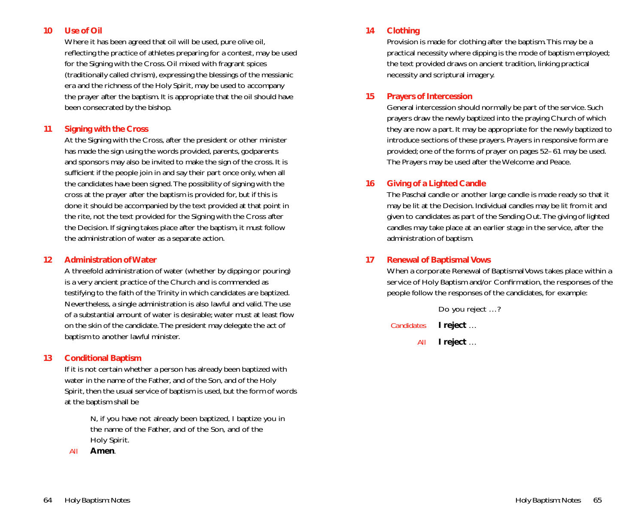### **10 Use of Oil**

Where it has been agreed that oil will be used, pure olive oil, reflecting the practice of athletes preparing for a contest, may be used for the Signing with the Cross. Oil mixed with fragrant spices (traditionally called chrism), expressing the blessings of the messianic era and the richness of the Holy Spirit, may be used to accompany the prayer after the baptism. It is appropriate that the oil should have been consecrated by the bishop.

### **11 Signing with the Cross**

At the Signing with the Cross, after the president or other minister has made the sign using the words provided, parents, godparents and sponsors may also be invited to make the sign of the cross. It is sufficient if the people join in and say their part once only, when all the candidates have been signed. The possibility of signing with the cross at the prayer after the baptism is provided for, but if this is done it should be accompanied by the text provided at that point in the rite, not the text provided for the Signing with the Cross after the Decision. If signing takes place after the baptism, it must follow the administration of water as a separate action.

### **12 Administration of Water**

A threefold administration of water (whether by dipping or pouring) is a very ancient practice of the Church and is commended as testifying to the faith of the Trinity in which candidates are baptized. Nevertheless, a single administration is also lawful and valid. The use of a substantial amount of water is desirable; water must at least flow on the skin of the candidate. The president may delegate the act of baptism to another lawful minister.

### **13 Conditional Baptism**

If it is not certain whether a person has already been baptized with water in the name of the Father, and of the Son, and of the Holy Spirit, then the usual service of baptism is used, but the form of words at the baptism shall be

*N*, if you have not already been baptized, I baptize you in the name of the Father, and of the Son, and of the Holy Spirit.

*All* **Amen**.

#### **14 Clothing**

Provision is made for clothing after the baptism. This may be a practical necessity where dipping is the mode of baptism employed; the text provided draws on ancient tradition, linking practical necessity and scriptural imagery.

### **15 Prayers of Intercession**

General intercession should normally be part of the service. Such prayers draw the newly baptized into the praying Church of which they are now a part. It may be appropriate for the newly baptized to introduce sections of these prayers. Prayers in responsive form are provided; one of the forms of prayer on pages 52–61 may be used. The Prayers may be used after the Welcome and Peace.

### **16 Giving of a Lighted Candle**

The Paschal candle or another large candle is made ready so that it may be lit at the Decision. Individual candles may be lit from it and given to candidates as part of the Sending Out. The giving of lighted candles may take place at an earlier stage in the service, after the administration of baptism.

### **17 Renewal of Baptismal Vows**

When a corporate Renewal of Baptismal Vows takes place within a service of Holy Baptism and/or Confirmation, the responses of the people follow the responses of the candidates, for example:

Do you reject …?

*Candidates* **I reject** …

*All* **I reject** …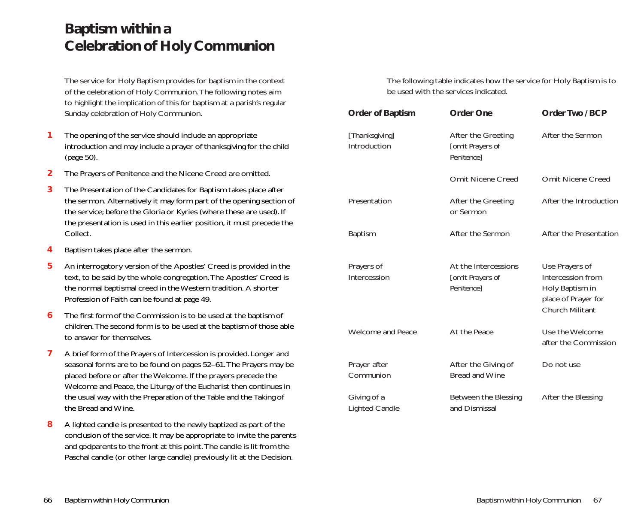## **Baptism within a Celebration of Holy Communion**

The service for Holy Baptism provides for baptism in the context of the celebration of Holy Communion. The following notes aim to highlight the implication of this for baptism at a parish's regular Sunday celebration of Holy Communion.

- **1** The opening of the service should include an appropriate introduction and may include a prayer of thanksgiving for the child (page 50).
- **2** The Prayers of Penitence and the Nicene Creed are omitted.
- **3** The Presentation of the Candidates for Baptism takes place after the sermon. Alternatively it may form part of the opening section of the service; before the Gloria or Kyries (where these are used). If the presentation is used in this earlier position, it must precede the Collect.
- **4** Baptism takes place after the sermon.
- **5** An interrogatory version of the Apostles' Creed is provided in the text, to be said by the whole congregation. The Apostles' Creed is the normal baptismal creed in the Western tradition. A shorter Profession of Faith can be found at page 49.
- **6** The first form of the Commission is to be used at the baptism of children. The second form is to be used at the baptism of those able to answer for themselves.
- **7** A brief form of the Prayers of Intercession is provided. Longer and seasonal forms are to be found on pages 52–61. The Prayers may be placed before or after the Welcome. If the prayers precede the Welcome and Peace, the Liturgy of the Eucharist then continues in the usual way with the Preparation of the Table and the Taking of the Bread and Wine.
- **8** A lighted candle is presented to the newly baptized as part of the conclusion of the service. It may be appropriate to invite the parents and godparents to the front at this point. The candle is lit from the Paschal candle (or other large candle) previously lit at the Decision.

The following table indicates how the service for Holy Baptism is to be used with the services indicated.

| <b>Order of Baptism</b>              | Order One                                              | Order Two / BCP                                                                                  |
|--------------------------------------|--------------------------------------------------------|--------------------------------------------------------------------------------------------------|
| [Thanksgiving]<br>Introduction       | After the Greeting<br>[omit Prayers of<br>Penitencel   | After the Sermon                                                                                 |
|                                      | Omit Nicene Creed                                      | Omit Nicene Creed                                                                                |
| Presentation                         | After the Greeting<br>or Sermon                        | After the Introduction                                                                           |
| <b>Baptism</b>                       | After the Sermon                                       | After the Presentation                                                                           |
| Prayers of<br>Intercession           | At the Intercessions<br>[omit Prayers of<br>Penitence] | Use Prayers of<br>Intercession from<br>Holy Baptism in<br>place of Prayer for<br>Church Militant |
| Welcome and Peace                    | At the Peace                                           | Use the Welcome<br>after the Commission                                                          |
| Prayer after<br>Communion            | After the Giving of<br><b>Bread and Wine</b>           | Do not use                                                                                       |
| Giving of a<br><b>Lighted Candle</b> | Between the Blessing<br>and Dismissal                  | After the Blessing                                                                               |